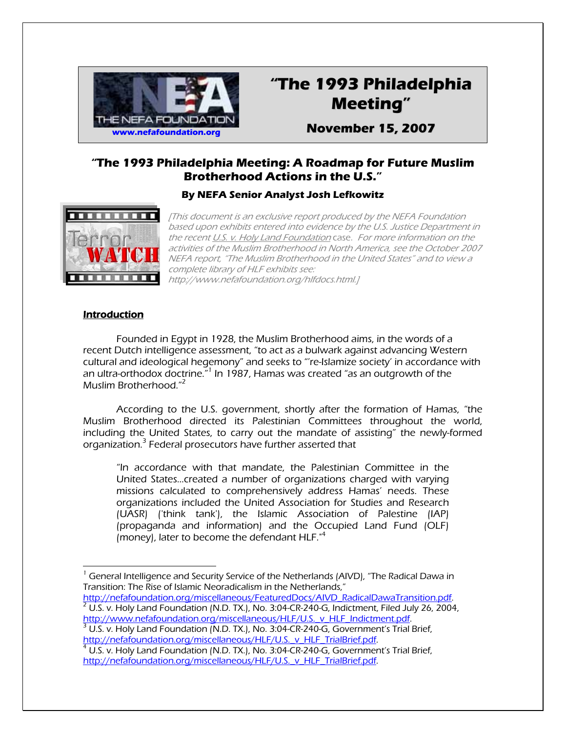

# **"The 1993 Philadelphia Meeting"**

**November 15, 2007**

## **"The 1993 Philadelphia Meeting: A Roadmap for Future Muslim Brotherhood Actions in the U.S."**

## **By NEFA Senior Analyst Josh Lefkowitz**



[This document is an exclusive report produced by the NEFA Foundation based upon exhibits entered into evidence by the U.S. Justice Department in the recent U.S. v. Holy Land Foundation case. For more information on the activities of the Muslim Brotherhood in North America, see the October 2007 NEFA report, "The Muslim Brotherhood in the United States" and to view a complete library of HLF exhibits see: http://www.nefafoundation.org/hlfdocs.html.]

#### **Introduction**

Founded in Egypt in 1928, the Muslim Brotherhood aims, in the words of a recent Dutch intelligence assessment, "to act as a bulwark against advancing Western cultural and ideological hegemony" and seeks to "'re-Islamize society' in accordance with an ultra-orthodox doctrine.<sup>"1</sup> In 1987, Hamas was created "as an outgrowth of the Muslim Brotherhood."<sup>2</sup>

According to the U.S. government, shortly after the formation of Hamas, "the Muslim Brotherhood directed its Palestinian Committees throughout the world, including the United States, to carry out the mandate of assisting" the newly-formed organization.<sup>3</sup> Federal prosecutors have further asserted that

"In accordance with that mandate, the Palestinian Committee in the United States…created a number of organizations charged with varying missions calculated to comprehensively address Hamas' needs. These organizations included the United Association for Studies and Research (UASR) ('think tank'), the Islamic Association of Palestine (IAP) (propaganda and information) and the Occupied Land Fund (OLF) (money), later to become the defendant  $HLF.<sup>4</sup>$ 

 $\overline{a}$ 1 General Intelligence and Security Service of the Netherlands (AIVD), "The Radical Dawa in Transition: The Rise of Islamic Neoradicalism in the Netherlands,"

http://nefafoundation.org/miscellaneous/FeaturedDocs/AIVD\_RadicalDawaTransition.pdf.  $^2$  U.S. v. Holy Land Foundation (N.D. TX.), No. 3:04-CR-240-G, Indictment, Filed July 26, 2004, http://www.nefafoundation.org/miscellaneous/HLF/U.S. v HLF Indictment.pdf

 $3$  U.S. v. Holy Land Foundation (N.D. TX.), No. 3:04-CR-240-G, Government's Trial Brief, <u>http://nefafoundation.org/miscellaneous/HLF/U.S.\_v\_HLF\_TrialBrief.pdf</u>.<br><sup>4</sup> U.S. v. Holy Land Foundation (N.D. TX.), No. 3:04-CR-240-G, Government's Trial Brief,

http://nefafoundation.org/miscellaneous/HLF/U.S.\_v\_HLF\_TrialBrief.pdf.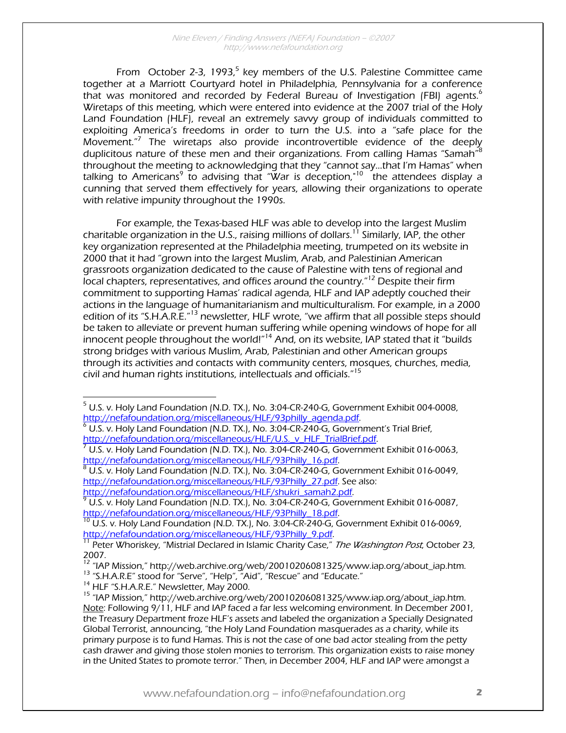From October 2-3, 1993,<sup>5</sup> key members of the U.S. Palestine Committee came together at a Marriott Courtyard hotel in Philadelphia, Pennsylvania for a conference that was monitored and recorded by Federal Bureau of Investigation (FBI) agents.<sup>6</sup> Wiretaps of this meeting, which were entered into evidence at the 2007 trial of the Holy Land Foundation (HLF), reveal an extremely savvy group of individuals committed to exploiting America's freedoms in order to turn the U.S. into a "safe place for the Movement."<sup>7</sup> The wiretaps also provide incontrovertible evidence of the deeply duplicitous nature of these men and their organizations. From calling Hamas "Samah" $^8$ throughout the meeting to acknowledging that they "cannot say…that I'm Hamas" when talking to Americans<sup>9</sup> to advising that "War is deception,"<sup>10</sup> the attendees display a cunning that served them effectively for years, allowing their organizations to operate with relative impunity throughout the 1990s.

For example, the Texas-based HLF was able to develop into the largest Muslim charitable organization in the U.S., raising millions of dollars.<sup>11</sup> Similarly, IAP, the other key organization represented at the Philadelphia meeting, trumpeted on its website in 2000 that it had "grown into the largest Muslim, Arab, and Palestinian American grassroots organization dedicated to the cause of Palestine with tens of regional and local chapters, representatives, and offices around the country."12 Despite their firm commitment to supporting Hamas' radical agenda, HLF and IAP adeptly couched their actions in the language of humanitarianism and multiculturalism. For example, in a 2000 edition of its "S.H.A.R.E."<sup>13</sup> newsletter, HLF wrote, "we affirm that all possible steps should be taken to alleviate or prevent human suffering while opening windows of hope for all innocent people throughout the world!"<sup>14</sup> And, on its website, IAP stated that it "builds strong bridges with various Muslim, Arab, Palestinian and other American groups through its activities and contacts with community centers, mosques, churches, media, civil and human rights institutions, intellectuals and officials."15

 U.S. v. Holy Land Foundation (N.D. TX.), No. 3:04-CR-240-G, Government Exhibit 016-0049, http://nefafoundation.org/miscellaneous/HLF/93Philly\_27.pdf. See also:

http://nefafoundation.org/miscellaneous/HLF/shukri\_samah2.pdf.

 $\sqrt[9]{0.5}$ . v. Holy Land Foundation (N.D. TX.), No. 3:04-CR-240-G, Government Exhibit 016-0087,

http://nefafoundation.org/miscellaneous/HLF/93Philly\_18.pdf.<br><sup>10</sup> U.S. v. Holy Land Foundation (N.D. TX.), No. 3:04-CR-240-G, Government Exhibit 016-0069,<br>http://nefafoundation.org/miscellaneous/HLF/93Philly\_9.pdf.

 $\frac{11}{11}$  Peter Whoriskey, "Mistrial Declared in Islamic Charity Case," The Washington Post, October 23, 2007.

 $\overline{a}$  $^5$  U.S. v. Holy Land Foundation (N.D. TX.), No. 3:04-CR-240-G, Government Exhibit 004-0008, http://nefafoundation.org/miscellaneous/HLF/93philly\_agenda.pdf.

U.S. v. Holy Land Foundation (N.D. TX.), No. 3:04-CR-240-G, Government's Trial Brief, http://nefafoundation.org/miscellaneous/HLF/U.S.\_v\_HLF\_TrialBrief.pdf.

U.S. v. Holy Land Foundation (N.D. TX.), No. 3:04-CR-240-G, Government Exhibit 016-0063, http://nefafoundation.org/miscellaneous/HLF/93Philly\_16.pdf.

<sup>&</sup>lt;sup>12</sup> "IAP Mission," http://web.archive.org/web/20010206081325/www.iap.org/about\_iap.htm.<br><sup>13</sup> "S.H.A.R.E" stood for "Serve", "Help", "Aid", "Rescue" and "Educate."<br><sup>14</sup> HLF "S.H.A.R.E." Newsletter, May 2000.<br><sup>15</sup> "IAP Mis

Note: Following 9/11, HLF and IAP faced a far less welcoming environment. In December 2001, the Treasury Department froze HLF's assets and labeled the organization a Specially Designated Global Terrorist, announcing, "the Holy Land Foundation masquerades as a charity, while its primary purpose is to fund Hamas. This is not the case of one bad actor stealing from the petty cash drawer and giving those stolen monies to terrorism. This organization exists to raise money in the United States to promote terror." Then, in December 2004, HLF and IAP were amongst a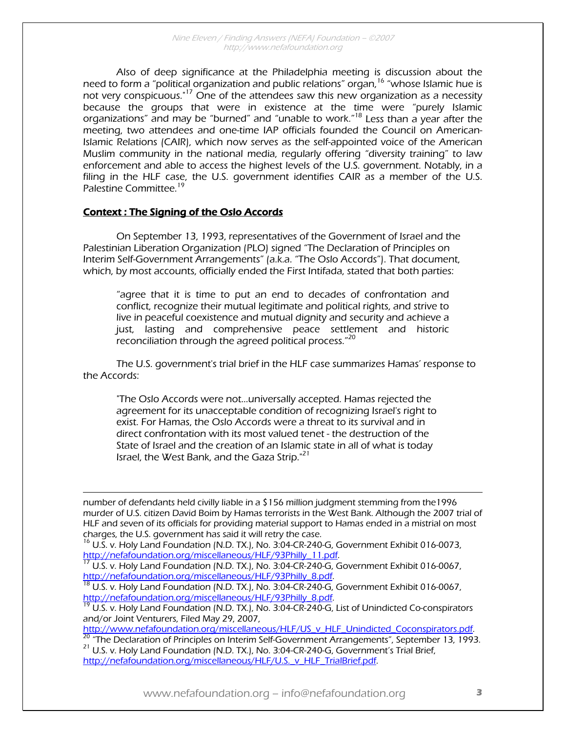Also of deep significance at the Philadelphia meeting is discussion about the need to form a "political organization and public relations" organ, <sup>16</sup> "whose Islamic hue is not very conspicuous."17 One of the attendees saw this new organization as a necessity because the groups that were in existence at the time were "purely Islamic organizations" and may be "burned" and "unable to work."18 Less than a year after the meeting, two attendees and one-time IAP officials founded the Council on American-Islamic Relations (CAIR), which now serves as the self-appointed voice of the American Muslim community in the national media, regularly offering "diversity training" to law enforcement and able to access the highest levels of the U.S. government. Notably, in a filing in the HLF case, the U.S. government identifies CAIR as a member of the U.S. Palestine Committee.<sup>19</sup>

#### Context : The Signing of the Oslo Accords

 $\overline{a}$ 

On September 13, 1993, representatives of the Government of Israel and the Palestinian Liberation Organization (PLO) signed "The Declaration of Principles on Interim Self-Government Arrangements" (a.k.a. "The Oslo Accords"). That document, which, by most accounts, officially ended the First Intifada, stated that both parties:

"agree that it is time to put an end to decades of confrontation and conflict, recognize their mutual legitimate and political rights, and strive to live in peaceful coexistence and mutual dignity and security and achieve a just, lasting and comprehensive peace settlement and historic reconciliation through the agreed political process."<sup>20</sup>

The U.S. government's trial brief in the HLF case summarizes Hamas' response to the Accords:

"The Oslo Accords were not...universally accepted. Hamas rejected the agreement for its unacceptable condition of recognizing Israel's right to exist. For Hamas, the Oslo Accords were a threat to its survival and in direct confrontation with its most valued tenet - the destruction of the State of Israel and the creation of an Islamic state in all of what is today Israel, the West Bank, and the Gaza Strip."<sup>21</sup>

number of defendants held civilly liable in a \$156 million judgment stemming from the1996 murder of U.S. citizen David Boim by Hamas terrorists in the West Bank. Although the 2007 trial of HLF and seven of its officials for providing material support to Hamas ended in a mistrial on most charges, the U.S. government has said it will retry the case.

 $^{16}$  U.S. v. Holy Land Foundation (N.D. TX.), No. 3:04-CR-240-G, Government Exhibit 016-0073, http://nefafoundation.org/miscellaneous/HLF/93Philly 11.pdf.

 $17$  U.S. v. Holy Land Foundation (N.D. TX.), No. 3:04-CR-240-G, Government Exhibit 016-0067,

http://nefafoundation.org/miscellaneous/HLF/93Philly\_8.pdf.<br><sup>18</sup> U.S. v. Holy Land Foundation (N.D. TX.), No. 3:04-CR-240-G, Government Exhibit 016-0067,<br>http://nefafoundation.org/miscellaneous/HLF/93Philly\_8.pdf.

 $h^9$  U.S. v. Holy Land Foundation (N.D. TX.), No. 3:04-CR-240-G, List of Unindicted Co-conspirators

and/or Joint Venturers, Filed May 29, 2007,<br>http://www.nefafoundation.org/miscellaneous/HLF/US v HLF Unindicted Coconspirators.pdf.

 $\frac{1}{20}$  "The Declaration of Principles on Interim Self-Government Arrangements", September 13, 1993.<br><sup>21</sup> U.S. v. Holy Land Foundation (N.D. TX.), No. 3:04-CR-240-G, Government's Trial Brief, http://nefafoundation.org/miscellaneous/HLF/U.S.\_v\_HLF\_TrialBrief.pdf.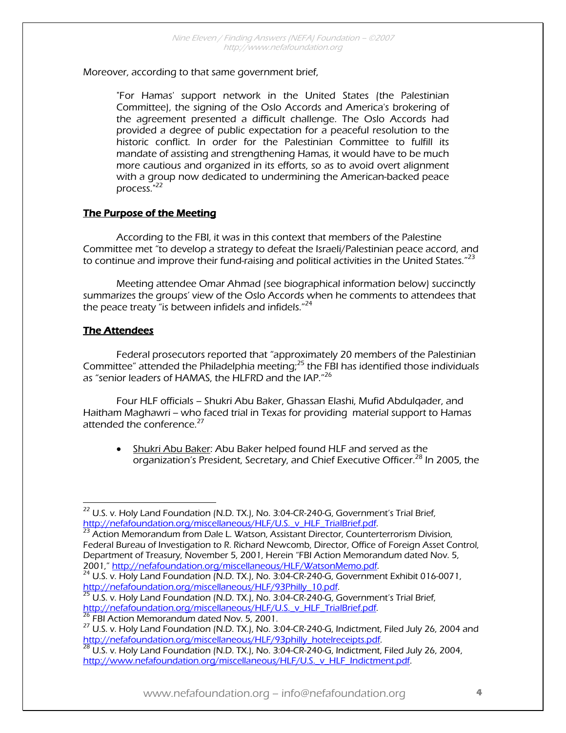#### Moreover, according to that same government brief,

"For Hamas' support network in the United States (the Palestinian Committee), the signing of the Oslo Accords and America's brokering of the agreement presented a difficult challenge. The Oslo Accords had provided a degree of public expectation for a peaceful resolution to the historic conflict. In order for the Palestinian Committee to fulfill its mandate of assisting and strengthening Hamas, it would have to be much more cautious and organized in its efforts, so as to avoid overt alignment with a group now dedicated to undermining the American-backed peace process."<sup>22</sup>

## The Purpose of the Meeting

 According to the FBI, it was in this context that members of the Palestine Committee met "to develop a strategy to defeat the Israeli/Palestinian peace accord, and to continue and improve their fund-raising and political activities in the United States." $^{23}$ 

 Meeting attendee Omar Ahmad (see biographical information below) succinctly summarizes the groups' view of the Oslo Accords when he comments to attendees that the peace treaty "is between infidels and infidels."<sup>24</sup>

## The Attendees

 Federal prosecutors reported that "approximately 20 members of the Palestinian Committee" attended the Philadelphia meeting; $^{25}$  the FBI has identified those individuals as "senior leaders of HAMAS, the HLFRD and the IAP."<sup>26</sup>

 Four HLF officials – Shukri Abu Baker, Ghassan Elashi, Mufid Abdulqader, and Haitham Maghawri -- who faced trial in Texas for providing material support to Hamas attended the conference.<sup>27</sup>

• Shukri Abu Baker: Abu Baker helped found HLF and served as the organization's President, Secretary, and Chief Executive Officer.<sup>28</sup> In 2005, the

 $\overline{a}$  $^{22}$  U.S. v. Holy Land Foundation (N.D. TX.), No. 3:04-CR-240-G, Government's Trial Brief, http://nefafoundation.org/miscellaneous/HLF/U.S.\_v\_HLF\_TrialBrief.pdf. 23 Action Memorandum from Dale L. Watson, Assistant Director, Counterterrorism Division,

Federal Bureau of Investigation to R. Richard Newcomb, Director, Office of Foreign Asset Control, Department of Treasury, November 5, 2001, Herein "FBI Action Memorandum dated Nov. 5,<br>2001," http://nefafoundation.org/miscellaneous/HLF/WatsonMemo.pdf.

 $^{24}$  U.S. v. Holy Land Foundation (N.D. TX.), No. 3:04-CR-240-G, Government Exhibit 016-0071,

http://nefafoundation.org/miscellaneous/HLF/93Philly\_10.pdf.<br><sup>25</sup> U.S. v. Holy Land Foundation (N.D. TX.), No. 3:04-CR-240-G, Government's Trial Brief,<br>http://nefafoundation.org/miscellaneous/HLF/U.S. v. HLF TrialBrief.pdf

<sup>&</sup>lt;sup>26</sup> FBI Action Memorandum dated Nov. 5, 2001.<br><sup>27</sup> U.S. v. Holy Land Foundation (N.D. TX.), No. 3:04-CR-240-G, Indictment, Filed July 26, 2004 and http://nefafoundation.org/miscellaneous/HLF/93philly\_hotelreceipts.pdf.<br><sup>28</sup> U.S. v. Holy Land Foundation (N.D. TX.), No. 3:04-CR-240-G, Indictment, Filed July 26, 2004,

http://www.nefafoundation.org/miscellaneous/HLF/U.S. v\_HLF\_Indictment.pdf.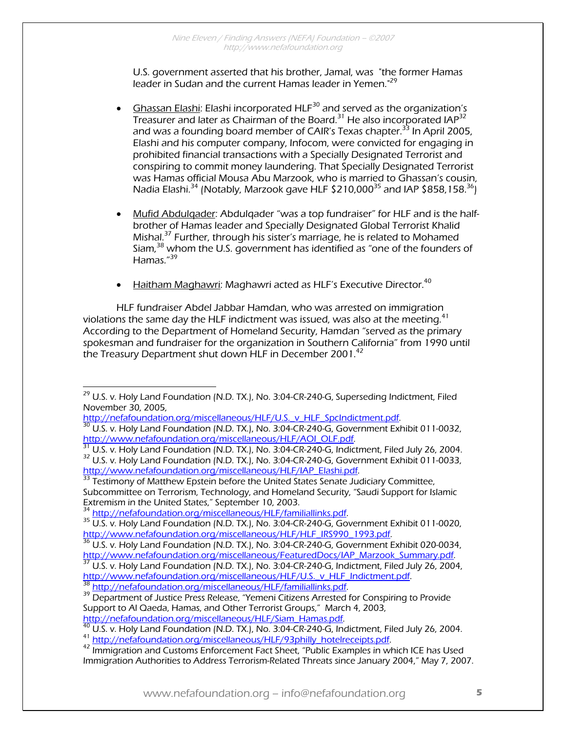U.S. government asserted that his brother, Jamal, was "the former Hamas leader in Sudan and the current Hamas leader in Yemen."<sup>29</sup>

- Ghassan Elashi: Elashi incorporated  $HLF<sup>30</sup>$  and served as the organization's Treasurer and later as Chairman of the Board.<sup>31</sup> He also incorporated IAP<sup>32</sup> and was a founding board member of CAIR's Texas chapter.<sup>33</sup> In April 2005, Elashi and his computer company, Infocom, were convicted for engaging in prohibited financial transactions with a Specially Designated Terrorist and conspiring to commit money laundering. That Specially Designated Terrorist was Hamas official Mousa Abu Marzook, who is married to Ghassan's cousin, Nadia Elashi.<sup>34</sup> (Notably, Marzook gave HLF \$210,000<sup>35</sup> and IAP \$858,158.<sup>36</sup>)
- Mufid Abdulqader: Abdulqader "was a top fundraiser" for HLF and is the halfbrother of Hamas leader and Specially Designated Global Terrorist Khalid Mishal.<sup>37</sup> Further, through his sister's marriage, he is related to Mohamed Siam,38 whom the U.S. government has identified as "one of the founders of Hamas."<sup>39</sup>
- Haitham Maghawri: Maghawri acted as HLF's Executive Director.<sup>40</sup>

HLF fundraiser Abdel Jabbar Hamdan, who was arrested on immigration violations the same day the HLF indictment was issued, was also at the meeting.<sup>41</sup> According to the Department of Homeland Security, Hamdan "served as the primary spokesman and fundraiser for the organization in Southern California" from 1990 until the Treasury Department shut down HLF in December 2001. $^{42}$ 

 $\overline{a}$  $^{29}$  U.S. v. Holy Land Foundation (N.D. TX.), No. 3:04-CR-240-G, Superseding Indictment, Filed November 30, 2005,

http://nefafoundation.org/miscellaneous/HLF/U.S.\_v\_HLF\_SpcIndictment.pdf.<br><sup>30</sup> U.S. v. Holy Land Foundation (N.D. TX.), No. 3:04-CR-240-G, Government Exhibit 011-0032,<br>http://www.nefafoundation.org/miscellaneous/HLF/AOI\_OL

 $31$  U.S. v. Holy Land Foundation (N.D. TX.), No. 3:04-CR-240-G, Indictment, Filed July 26, 2004.<br><sup>32</sup> U.S. v. Holy Land Foundation (N.D. TX.), No. 3:04-CR-240-G, Government Exhibit 011-0033, http://www.nefafoundation.org

Testimony of Matthew Epstein before the United States Senate Judiciary Committee, Subcommittee on Terrorism, Technology, and Homeland Security, "Saudi Support for Islamic Extremism in the United States," September 10, 2003.<br><sup>34</sup> http://nefafoundation.org/miscellaneous/HLF/familiallinks.pdf.

<sup>&</sup>lt;sup>35</sup> U.S. v. Holy Land Foundation (N.D. TX.), No. 3:04-CR-240-G, Government Exhibit 011-0020, http://www.nefafoundation.org/miscellaneous/HLF/HLF IRS990 1993.pdf.

<sup>&</sup>lt;sup>36</sup> U.S. v. Holy Land Foundation (N.D. TX.), No. 3:04-CR-240-G, Government Exhibit 020-0034,<br>http://www.nefafoundation.org/miscellaneous/FeaturedDocs/IAP Marzook Summarv.pdf.

<sup>&</sup>lt;sup>37</sup> U.S. v. Holy Land Foundation (N.D. TX.), No. 3:04-CR-240-G, Indictment, Filed July 26, 2004,<br>http://www.nefafoundation.org/miscellaneous/HLF/U.S. v. HLF. Indictment.pdf.

<sup>&</sup>lt;sup>38</sup> http://nefafoundation.org/miscellaneous/HLF/familiallinks.pdf.<br><sup>39</sup> Department of Justice Press Release, "Yemeni Citizens Arrested for Conspiring to Provide Support to Al Qaeda, Hamas, and Other Terrorist Groups," March 4, 2003,

http://nefafoundation.org/miscellaneous/HLF/Siam\_Hamas.pdf.<br><sup>40</sup> U.S. v. Holy Land Foundation (N.D. TX.), No. 3:04-CR-240-G, Indictment, Filed July 26, 2004.<br><sup>41</sup> http://nefafoundation.org/miscellaneous/HLF/93philly\_hotelr

Immigration Authorities to Address Terrorism-Related Threats since January 2004," May 7, 2007.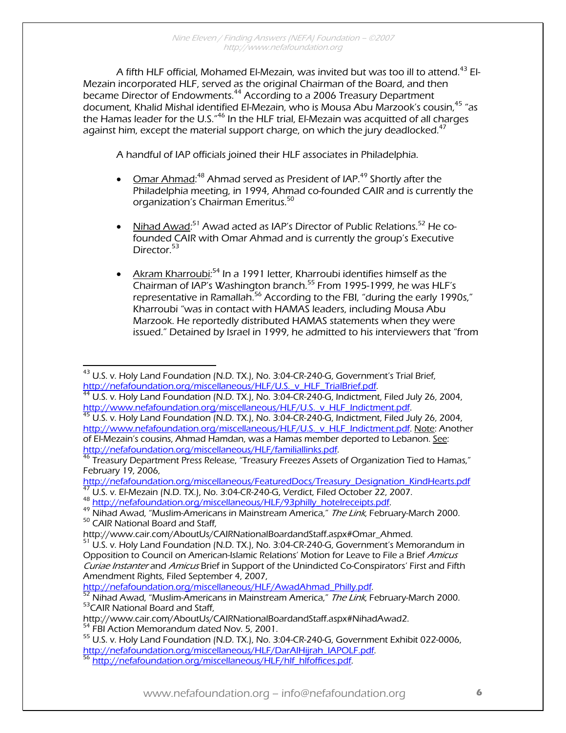A fifth HLF official, Mohamed El-Mezain, was invited but was too ill to attend.<sup>43</sup> El-Mezain incorporated HLF, served as the original Chairman of the Board, and then became Director of Endowments.<sup>44</sup> According to a 2006 Treasury Department document, Khalid Mishal identified El-Mezain, who is Mousa Abu Marzook's cousin, <sup>45</sup> "as the Hamas leader for the U.S."46 In the HLF trial, El-Mezain was acquitted of all charges against him, except the material support charge, on which the jury deadlocked.<sup>47</sup>

A handful of IAP officials joined their HLF associates in Philadelphia.

- $\degree$  Omar Ahmad:<sup>48</sup> Ahmad served as President of IAP.<sup>49</sup> Shortly after the Philadelphia meeting, in 1994, Ahmad co-founded CAIR and is currently the organization's Chairman Emeritus.<sup>50</sup>
- Nihad Awad:<sup>51</sup> Awad acted as IAP's Director of Public Relations.<sup>52</sup> He cofounded CAIR with Omar Ahmad and is currently the group's Executive Director.<sup>53</sup>
- Akram Kharroubi:<sup>54</sup> In a 1991 letter, Kharroubi identifies himself as the Chairman of IAP's Washington branch.<sup>55</sup> From 1995-1999, he was HLF's representative in Ramallah.<sup>56</sup> According to the FBI, "during the early 1990s," Kharroubi "was in contact with HAMAS leaders, including Mousa Abu Marzook. He reportedly distributed HAMAS statements when they were issued." Detained by Israel in 1999, he admitted to his interviewers that "from

 $\overline{a}$  $^{43}$  U.S. v. Holy Land Foundation (N.D. TX.), No. 3:04-CR-240-G, Government's Trial Brief,

http://nefafoundation.org/miscellaneous/HLF/U.S.\_v\_HLF\_TrialBrief.pdf.<br><sup>44</sup> U.S. v. Holy Land Foundation (N.D. TX.), No. 3:04-CR-240-G, Indictment, Filed July 26, 2004,<br>http://www.nefafoundation.org/miscellaneous/HLF/U.S.\_

 $\frac{45 \text{ U.S.}}{1}$  v. Holy Land Foundation (N.D. TX.), No. 3:04-CR-240-G, Indictment, Filed July 26, 2004, http://www.nefafoundation.org/miscellaneous/HLF/U.S. v HLF Indictment.pdf. Note: Another of El-Mezain's cousins, Ahmad Hamdan, was a Hamas member deported to Lebanon. See:<br>http://nefafoundation.org/miscellaneous/HLF/familiallinks.pdf.

 $^{46}$  Treasury Department Press Release, "Treasury Freezes Assets of Organization Tied to Hamas," February 19, 2006,<br>http://nefafoundation.org/miscellaneous/FeaturedDocs/Treasury Designation KindHearts.pdf

<sup>147</sup> U.S. v. El-Mezain (N.D. TX.), No. 3:04-CR-240-G, Verdict, Filed October 22, 2007.<br>
<sup>48</sup> http://nefafoundation.org/miscellaneous/HLF/93philly hotelreceipts.pdf.<br>
<sup>49</sup> Nihad Awad, "Muslim-Americans in Mainstream America,

 $<sup>51</sup>$  U.S. v. Holy Land Foundation (N.D. TX.), No. 3:04-CR-240-G, Government's Memorandum in</sup> Opposition to Council on American-Islamic Relations' Motion for Leave to File a Brief Amicus Curiae Instanter and Amicus Brief in Support of the Unindicted Co-Conspirators' First and Fifth Amendment Rights, Filed September 4, 2007,

nttp://nefafoundation.org/miscellaneous/HLF/AwadAhmad\_Philly.pdf.<br>
<sup>52</sup> Nihad Awad, "Muslim-Americans in Mainstream America," *The Link*, February-March 2000.<br>
<sup>53</sup>CAIR National Board and Staff,<br>
http://www.cair.com/AboutU

<sup>&</sup>lt;sup>54</sup> FBI Action Memorandum dated Nov. 5, 2001.<br><sup>55</sup> U.S. v. Holy Land Foundation (N.D. TX.), No. 3:04-CR-240-G, Government Exhibit 022-0006, http://nefafoundation.org/miscellaneous/HLF/DarAlHijrah\_IAPOLF.pdf.<br><sup>56</sup> http://nefafoundation.org/miscellaneous/HLF/hlf\_hlfoffices.pdf.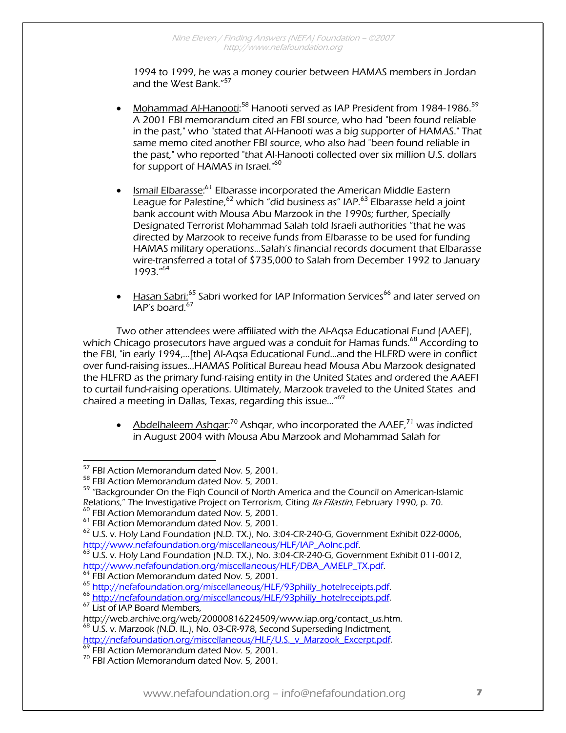1994 to 1999, he was a money courier between HAMAS members in Jordan and the West Bank."<sup>57</sup>

- Mohammad Al-Hanooti:<sup>58</sup> Hanooti served as IAP President from 1984-1986.<sup>59</sup> A 2001 FBI memorandum cited an FBI source, who had "been found reliable in the past," who "stated that Al-Hanooti was a big supporter of HAMAS." That same memo cited another FBI source, who also had "been found reliable in the past," who reported "that Al-Hanooti collected over six million U.S. dollars for support of HAMAS in Israel."<sup>60</sup>
- Ismail Elbarasse:<sup>61</sup> Elbarasse incorporated the American Middle Eastern League for Palestine,  $62$  which "did business as" IAP.  $63$  Elbarasse held a joint bank account with Mousa Abu Marzook in the 1990s; further, Specially Designated Terrorist Mohammad Salah told Israeli authorities "that he was directed by Marzook to receive funds from Elbarasse to be used for funding HAMAS military operations…Salah's financial records document that Elbarasse wire-transferred a total of \$735,000 to Salah from December 1992 to January 1993."64
- Hasan Sabri:<sup>65</sup> Sabri worked for IAP Information Services<sup>66</sup> and later served on IAP's board.<sup>67</sup>

Two other attendees were affiliated with the Al-Aqsa Educational Fund (AAEF), which Chicago prosecutors have argued was a conduit for Hamas funds.<sup>68</sup> According to the FBI, "in early 1994,…[the] Al-Aqsa Educational Fund…and the HLFRD were in conflict over fund-raising issues...HAMAS Political Bureau head Mousa Abu Marzook designated the HLFRD as the primary fund-raising entity in the United States and ordered the AAEFI to curtail fund-raising operations. Ultimately, Marzook traveled to the United States and chaired a meeting in Dallas, Texas, regarding this issue…"69

• Abdelhaleem Ashqar:<sup>70</sup> Ashqar, who incorporated the AAEF,<sup>71</sup> was indicted in August 2004 with Mousa Abu Marzook and Mohammad Salah for

<sup>&</sup>lt;sup>57</sup> FBI Action Memorandum dated Nov. 5, 2001.

<sup>&</sup>lt;sup>58</sup> FBI Action Memorandum dated Nov. 5, 2001.<br><sup>59</sup> "Backgrounder On the Fiqh Council of North America and the Council on American-Islamic<br>Relations," The Investigative Project on Terrorism, Citing *Ila Filastin*, Februar

<sup>&</sup>lt;sup>60</sup> FBI Action Memorandum dated Nov. 5, 2001.<br><sup>61</sup> FBI Action Memorandum dated Nov. 5, 2001.<br><sup>62</sup> U.S. v. Holy Land Foundation (N.D. TX.), No. 3:04-CR-240-G, Government Exhibit 022-0006,<br>http://www.nefafoundation.org/misc

 $\frac{63}{12}$  U.S. v. Holy Land Foundation (N.D. TX.), No. 3:04-CR-240-G, Government Exhibit 011-0012, http://www.nefafoundation.org/miscellaneous/HLF/DBA AMELP TX.pdf.<br>
<sup>64</sup> FBI Action Memorandum dated Nov. 5, 2001.<br>
<sup>65</sup> http://nefafoundation.org/miscellaneous/HLF/93philly hotelreceipts.pdf.<br>
<sup>66</sup> http://nefafoundation.or

http://web.archive.org/web/2000081822162217101/www.iap.org/contact\_us.html<br><sup>68</sup> U.S. v. Marzook (N.D. IL.), No. 03-CR-978, Second Superseding Indictment,

http://nefafoundation.org/miscellaneous/HLF/U.S.\_v\_Marzook\_Excerpt.pdf. <sup>69</sup> FBI Action Memorandum dated Nov. 5, 2001. 70 FBI Action Memorandum dated Nov. 5, 2001.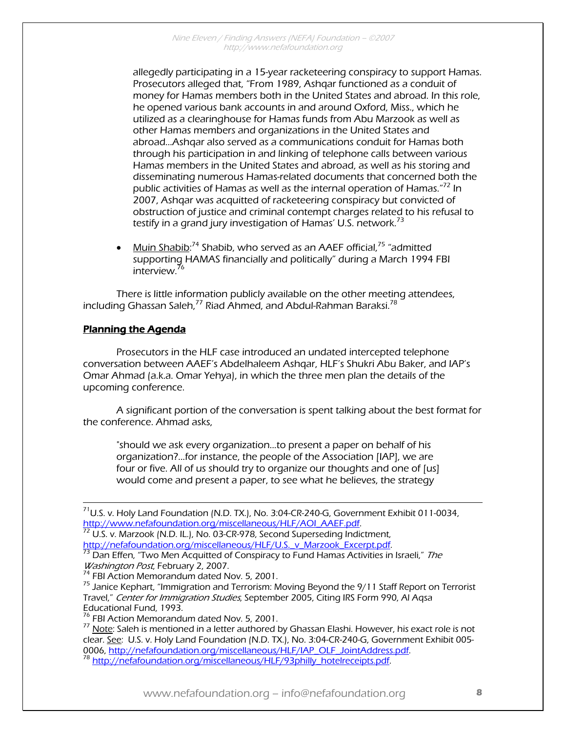allegedly participating in a 15-year racketeering conspiracy to support Hamas. Prosecutors alleged that, "From 1989, Ashqar functioned as a conduit of money for Hamas members both in the United States and abroad. In this role, he opened various bank accounts in and around Oxford, Miss., which he utilized as a clearinghouse for Hamas funds from Abu Marzook as well as other Hamas members and organizations in the United States and abroad…Ashqar also served as a communications conduit for Hamas both through his participation in and linking of telephone calls between various Hamas members in the United States and abroad, as well as his storing and disseminating numerous Hamas-related documents that concerned both the public activities of Hamas as well as the internal operation of Hamas."<sup>72</sup> In 2007, Ashqar was acquitted of racketeering conspiracy but convicted of obstruction of justice and criminal contempt charges related to his refusal to testify in a grand jury investigation of Hamas' U.S. network.<sup>73</sup>

 $\bullet$  Muin Shabib:<sup>74</sup> Shabib, who served as an AAEF official,<sup>75</sup> "admitted supporting HAMAS financially and politically" during a March 1994 FBI interview.<sup>76</sup>

There is little information publicly available on the other meeting attendees, including Ghassan Saleh,<sup>77</sup> Riad Ahmed, and Abdul-Rahman Baraksi.<sup>78</sup>

#### Planning the Agenda

 Prosecutors in the HLF case introduced an undated intercepted telephone conversation between AAEF's Abdelhaleem Ashqar, HLF's Shukri Abu Baker, and IAP's Omar Ahmad (a.k.a. Omar Yehya), in which the three men plan the details of the upcoming conference.

A significant portion of the conversation is spent talking about the best format for the conference. Ahmad asks,

"should we ask every organization...to present a paper on behalf of his organization?...for instance, the people of the Association [IAP], we are four or five. All of us should try to organize our thoughts and one of [us] would come and present a paper, to see what he believes, the strategy

http://nefafoundation.org/miscellaneous/HLF/U.S.\_v\_Marzook\_Excerpt.pdf.<br><sup>73</sup> Dan Effen, "Two Men Acquitted of Conspiracy to Fund Hamas Activities in Israeli," *The<br>Washington Post*, February 2, 2007.

<sup>78</sup> http://nefafoundation.org/miscellaneous/HLF/93philly\_hotelreceipts.pdf.

 $71$ U.S. v. Holy Land Foundation (N.D. TX.), No. 3:04-CR-240-G, Government Exhibit 011-0034, http://www.nefafoundation.org/miscellaneous/HLF/AOI\_AAEF.pdf. 72 U.S. v. Marzook (N.D. IL.), No. 03-CR-978, Second Superseding Indictment,

<sup>&</sup>lt;sup>74</sup> FBI Action Memorandum dated Nov. 5, 2001.<br><sup>75</sup> Janice Kephart, "Immigration and Terrorism: Moving Beyond the 9/11 Staff Report on Terrorist Travel," Center for Immigration Studies, September 2005, Citing IRS Form 990, AI Agsa Educational Fund, 1993.

<sup>&</sup>lt;sup>76</sup> FBI Action Memorandum dated Nov. 5, 2001.<br><sup>77</sup> <u>Note</u>: Saleh is mentioned in a letter authored by Ghassan Elashi. However, his exact role is not clear. See: U.S. v. Holy Land Foundation (N.D. TX.), No. 3:04-CR-240-G, Government Exhibit 005-<br>0006, http://nefafoundation.org/miscellaneous/HLF/IAP\_OLF\_JointAddress.pdf.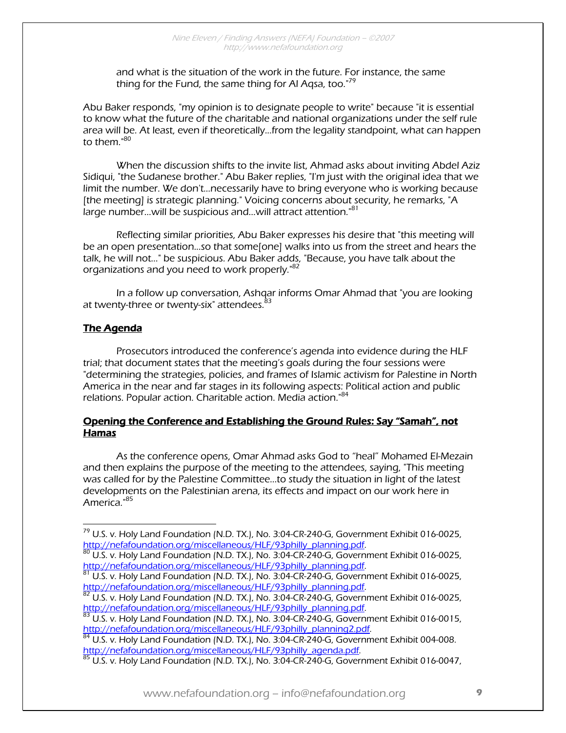and what is the situation of the work in the future. For instance, the same thing for the Fund, the same thing for Al Agsa, too."<sup>79</sup>

Abu Baker responds, "my opinion is to designate people to write" because "it is essential to know what the future of the charitable and national organizations under the self rule area will be. At least, even if theoretically...from the legality standpoint, what can happen to them  $^{\mathrm{"80}}$ 

When the discussion shifts to the invite list, Ahmad asks about inviting Abdel Aziz Sidiqui, "the Sudanese brother." Abu Baker replies, "I'm just with the original idea that we limit the number. We don't…necessarily have to bring everyone who is working because [the meeting] is strategic planning." Voicing concerns about security, he remarks, "A large number...will be suspicious and...will attract attention."<sup>81</sup>

Reflecting similar priorities, Abu Baker expresses his desire that "this meeting will be an open presentation...so that some[one] walks into us from the street and hears the talk, he will not..." be suspicious. Abu Baker adds, "Because, you have talk about the organizations and you need to work properly."<sup>82</sup>

In a follow up conversation, Ashqar informs Omar Ahmad that "you are looking at twenty-three or twenty-six" attendees.<sup>83</sup>

## The Agenda

 Prosecutors introduced the conference's agenda into evidence during the HLF trial; that document states that the meeting's goals during the four sessions were "determining the strategies, policies, and frames of Islamic activism for Palestine in North America in the near and far stages in its following aspects: Political action and public relations. Popular action. Charitable action. Media action."<sup>84</sup>

#### Opening the Conference and Establishing the Ground Rules: Say "Samah", not Hamas

 As the conference opens, Omar Ahmad asks God to "heal" Mohamed El-Mezain and then explains the purpose of the meeting to the attendees, saying, "This meeting was called for by the Palestine Committee...to study the situation in light of the latest developments on the Palestinian arena, its effects and impact on our work here in America."<sup>85</sup>

 $\overline{a}$  $^{79}$  U.S. v. Holy Land Foundation (N.D. TX.), No. 3:04-CR-240-G, Government Exhibit 016-0025,

http://nefafoundation.org/miscellaneous/HLF/93philly\_planning.pdf.<br><sup>80</sup> U.S. v. Holy Land Foundation (N.D. TX.), No. 3:04-CR-240-G, Government Exhibit 016-0025,<br>http://nefafoundation.org/miscellaneous/HLF/93philly\_planning

http://nefatorg/miscellandeous/Hurryplandeous/Hurryplanning. v. Holy Land Foundation (N.D. TX.), No. 3:04-CR-240-G, Government Exhibit 016-0025, http://nefafoundation.org/miscellaneous/HLF/93philly\_planning.pdf.<br><sup>82</sup> U.S. v. Holy Land Foundation (N.D. TX.), No. 3:04-CR-240-G, Government Exhibit 016-0025,

http://nefafoundation.org/miscellaneous/HLF/93philly\_planning.pdf.<br><sup>83</sup> U.S. v. Holy Land Foundation (N.D. TX.), No. 3:04-CR-240-G, Government Exhibit 016-0015,

http://nefafoundation.org/miscellaneous/HLF/93philly\_planning2.pdf.<br><sup>84</sup> U.S. v. Holy Land Foundation (N.D. TX.), No. 3:04-CR-240-G, Government Exhibit 004-008. http://nefafoundation.org/miscellaneous/HLF/93philly\_agenda.pdf.<br><sup>85</sup> U.S. v. Holy Land Foundation (N.D. TX.), No. 3:04-CR-240-G, Government Exhibit 016-0047,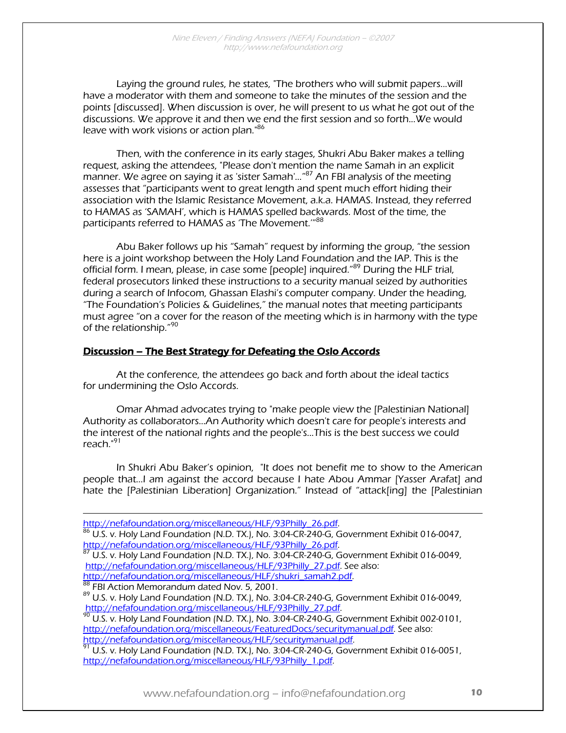Laying the ground rules, he states, "The brothers who will submit papers...will have a moderator with them and someone to take the minutes of the session and the points [discussed]. When discussion is over, he will present to us what he got out of the discussions. We approve it and then we end the first session and so forth...We would leave with work visions or action plan.<sup>86</sup>

Then, with the conference in its early stages, Shukri Abu Baker makes a telling request, asking the attendees, "Please don't mention the name Samah in an explicit manner. We agree on saying it as 'sister Samah'...<sup>"87</sup> An FBI analysis of the meeting assesses that "participants went to great length and spent much effort hiding their association with the Islamic Resistance Movement, a.k.a. HAMAS. Instead, they referred to HAMAS as 'SAMAH', which is HAMAS spelled backwards. Most of the time, the participants referred to HAMAS as 'The Movement.'"<sup>88</sup>

Abu Baker follows up his "Samah" request by informing the group, "the session here is a joint workshop between the Holy Land Foundation and the IAP. This is the official form. I mean, please, in case some [people] inquired."89 During the HLF trial, federal prosecutors linked these instructions to a security manual seized by authorities during a search of Infocom, Ghassan Elashi's computer company. Under the heading, "The Foundation's Policies & Guidelines," the manual notes that meeting participants must agree "on a cover for the reason of the meeting which is in harmony with the type of the relationship."<sup>90</sup>

#### Discussion – The Best Strategy for Defeating the Oslo Accords

 At the conference, the attendees go back and forth about the ideal tactics for undermining the Oslo Accords.

 Omar Ahmad advocates trying to "make people view the [Palestinian National] Authority as collaborators…An Authority which doesn't care for people's interests and the interest of the national rights and the people's...This is the best success we could reach."<sup>91</sup>

In Shukri Abu Baker's opinion, "It does not benefit me to show to the American people that...I am against the accord because I hate Abou Ammar [Yasser Arafat] and hate the [Palestinian Liberation] Organization." Instead of "attack[ing] the [Palestinian

 $\frac{88}{28}$  FBI Action Memorandum dated Nov. 5, 2001.<br> $\frac{89}{2}$  U.S. v. Holy Land Foundation (N.D. TX.), No. 3:04-CR-240-G, Government Exhibit 016-0049,

http://nefafoundation.org/miscellaneous/HLF/93Philly\_27.pdf.<br><sup>90</sup> U.S. v. Holy Land Foundation (N.D. TX.), No. 3:04-CR-240-G, Government Exhibit 002-0101, http://nefafoundation.org/miscellaneous/FeaturedDocs/securitymanual.pdf. See also:<br>http://nefafoundation.org/miscellaneous/HLF/securitymanual.pdf.

 $\frac{91}{10}$  U.S. v. Holy Land Foundation (N.D. TX.), No. 3:04-CR-240-G, Government Exhibit 016-0051, http://nefafoundation.org/miscellaneous/HLF/93Philly\_1.pdf.

http://nefafoundation.org/miscellaneous/HLF/93Philly\_26.pdf

<sup>&</sup>lt;sup>86</sup> U.S. v. Holy Land Foundation (N.D. TX.), No. 3:04-CR-240-G, Government Exhibit 016-0047,<br>http://nefafoundation.org/miscellaneous/HLF/93Philly 26.pdf.

 $\frac{87}{125}$  U.S. v. Holy Land Foundation (N.D. TX.), No. 3:04-CR-240-G, Government Exhibit 016-0049, http://nefafoundation.org/miscellaneous/HLF/93Philly\_27.pdf. See also:<br>http://nefafoundation.org/miscellaneous/HLF/shukri\_samah2.pdf.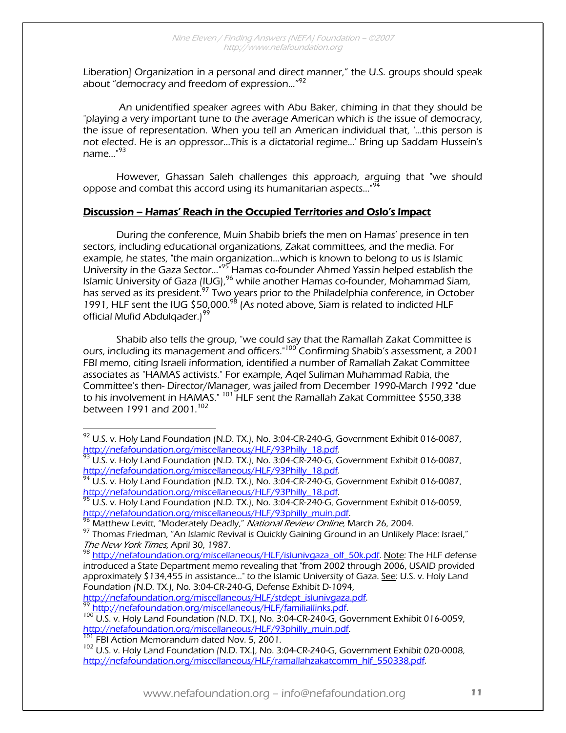Liberation] Organization in a personal and direct manner," the U.S. groups should speak about "democracy and freedom of expression..."<sup>92</sup>

 An unidentified speaker agrees with Abu Baker, chiming in that they should be "playing a very important tune to the average American which is the issue of democracy, the issue of representation. When you tell an American individual that, '...this person is not elected. He is an oppressor...This is a dictatorial regime...' Bring up Saddam Hussein's name $\ldots$ "<sup>93</sup>

However, Ghassan Saleh challenges this approach, arguing that "we should oppose and combat this accord using its humanitarian aspects..."<sup>9</sup>

#### Discussion – Hamas' Reach in the Occupied Territories and Oslo's Impact

 During the conference, Muin Shabib briefs the men on Hamas' presence in ten sectors, including educational organizations, Zakat committees, and the media. For example, he states, "the main organization...which is known to belong to us is Islamic University in the Gaza Sector..."95 Hamas co-founder Ahmed Yassin helped establish the Islamic University of Gaza (IUG),  $96$  while another Hamas co-founder, Mohammad Siam, has served as its president.<sup>97</sup> Two years prior to the Philadelphia conference, in October 1991, HLF sent the IUG \$50,000.98 (As noted above, Siam is related to indicted HLF official Mufid Abdulgader.)<sup>99</sup>

Shabib also tells the group, "we could say that the Ramallah Zakat Committee is ours, including its management and officers."100 Confirming Shabib's assessment, a 2001 FBI memo, citing Israeli information, identified a number of Ramallah Zakat Committee associates as "HAMAS activists." For example, Aqel Suliman Muhammad Rabia, the Committee's then- Director/Manager, was jailed from December 1990-March 1992 "due to his involvement in HAMAS." <sup>101</sup> HLF sent the Ramallah Zakat Committee \$550,338 between 1991 and 2001.<sup>102</sup>

 $^{92}$  U.S. v. Holy Land Foundation (N.D. TX.), No. 3:04-CR-240-G, Government Exhibit 016-0087, http://nefafoundation.org/miscellaneous/HLF/93Philly\_18.pdf.<br><sup>93</sup> U.S. v. Holy Land Foundation (N.D. TX.), No. 3:04-CR-240-G, Government Exhibit 016-0087,

http://nefafoundation.org/miscellaneous/HLF/93Philly\_18.pdf.<br><sup>94</sup> U.S. v. Holy Land Foundation (N.D. TX.), No. 3:04-CR-240-G, Government Exhibit 016-0087,

http://nefafoundation.org/miscellaneous/HLF/93Philly\_18.pdf.<br><sup>95</sup> U.S. v. Holy Land Foundation (N.D. TX.), No. 3:04-CR-240-G, Government Exhibit 016-0059,<br>http://nefafoundation.org/miscellaneous/HLF/93philly\_muin.pdf.

<sup>&</sup>lt;sup>96</sup> Matthew Levitt, "Moderately Deadly," *National Review Online*, March 26, 2004.<br><sup>97</sup> Thomas Friedman, "An Islamic Revival is Quickly Gaining Ground in an Unlikely Place: Israel,"<br>*The New York Times,* April 30, 1987.

<sup>&</sup>lt;sup>98</sup> http://nefafoundation.org/miscellaneous/HLF/islunivgaza\_olf\_50k.pdf. Note: The HLF defense introduced a State Department memo revealing that "from 2002 through 2006, USAID provided approximately \$134,455 in assistance..." to the Islamic University of Gaza. See: U.S. v. Holy Land Foundation (N.D. TX.), No. 3:04-CR-240-G, Defense Exhibit D-1094,<br>http://nefafoundation.org/miscellaneous/HLF/stdept\_islunivgaza.pdf.

<sup>&</sup>lt;sup>99</sup> http://nefafoundation.org/miscellaneous/HLF/familiallinks.pdf.<br><sup>100</sup> U.S. v. Holy Land Foundation (N.D. TX.), No. 3:04-CR-240-G, Government Exhibit 016-0059, http://nefafoundation.org/miscellaneous/HLF/93philly\_muin.pdf. <sup>101</sup> FBI Action Memorandum dated Nov. 5, 2001. 102<br><sup>101</sup> FBI Action Memorandum dated Nov. 5, 2001. 102 U.S. Government Exhibit 020-0008,<br><sup>102</sup> U.S. v. Holy La

http://nefafoundation.org/miscellaneous/HLF/ramallahzakatcomm\_hlf\_550338.pdf.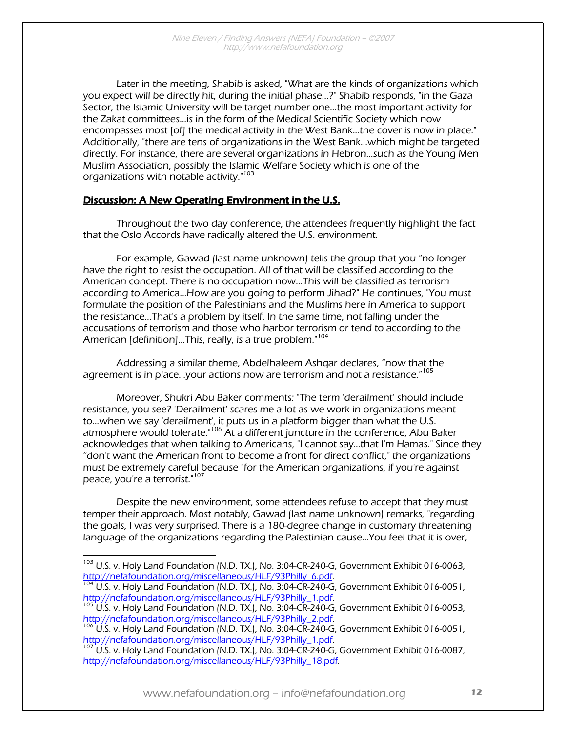Later in the meeting, Shabib is asked, "What are the kinds of organizations which you expect will be directly hit, during the initial phase...?" Shabib responds, "in the Gaza Sector, the Islamic University will be target number one...the most important activity for the Zakat committees...is in the form of the Medical Scientific Society which now encompasses most [of] the medical activity in the West Bank...the cover is now in place." Additionally, "there are tens of organizations in the West Bank...which might be targeted directly. For instance, there are several organizations in Hebron...such as the Young Men Muslim Association, possibly the Islamic Welfare Society which is one of the organizations with notable activity."<sup>103</sup>

#### Discussion: A New Operating Environment in the U.S.

Throughout the two day conference, the attendees frequently highlight the fact that the Oslo Accords have radically altered the U.S. environment.

For example, Gawad (last name unknown) tells the group that you "no longer have the right to resist the occupation. All of that will be classified according to the American concept. There is no occupation now…This will be classified as terrorism according to America...How are you going to perform Jihad?" He continues, "You must formulate the position of the Palestinians and the Muslims here in America to support the resistance...That's a problem by itself. In the same time, not falling under the accusations of terrorism and those who harbor terrorism or tend to according to the American [definition]...This, really, is a true problem."<sup>104</sup>

Addressing a similar theme, Abdelhaleem Ashqar declares, "now that the agreement is in place...your actions now are terrorism and not a resistance."<sup>105</sup>

Moreover, Shukri Abu Baker comments: "The term 'derailment' should include resistance, you see? 'Derailment' scares me a lot as we work in organizations meant to...when we say 'derailment', it puts us in a platform bigger than what the U.S. atmosphere would tolerate."<sup>106</sup> At a different juncture in the conference, Abu Baker acknowledges that when talking to Americans, "I cannot say…that I'm Hamas." Since they "don't want the American front to become a front for direct conflict," the organizations must be extremely careful because "for the American organizations, if you're against peace, you're a terrorist."<sup>107</sup>

Despite the new environment, some attendees refuse to accept that they must temper their approach. Most notably, Gawad (last name unknown) remarks, "regarding the goals, I was very surprised. There is a 180-degree change in customary threatening language of the organizations regarding the Palestinian cause...You feel that it is over,

<sup>&</sup>lt;sup>103</sup> U.S. v. Holy Land Foundation (N.D. TX.), No. 3:04-CR-240-G, Government Exhibit 016-0063,

http://nefafoundation.org/miscellaneous/HLF/93Philly\_6.pdf.<br><sup>104</sup> U.S. v. Holy Land Foundation (N.D. TX.), No. 3:04-CR-240-G, Government Exhibit 016-0051,<br>http://nefafoundation.org/miscellaneous/HLF/93Philly\_1.pdf.

<sup>&</sup>lt;sup>105</sup> U.S. v. Holy Land Foundation (N.D. TX.), No. 3:04-CR-240-G, Government Exhibit 016-0053,<br>http://nefafoundation.org/miscellaneous/HLF/93Philly\_2.pdf.<br><sup>106</sup> U.S. v. Holy Land Frank Corea, 105 (105 Corea)

U.S. v. Holy Land Foundation (N.D. TX.), No. 3:04-CR-240-G, Government Exhibit 016-0051, http://nefafoundation.org/miscellaneous/HLF/93Philly\_1.pdf.<br><sup>107</sup> U.S. v. Holy Land Foundation (N.D. TX.), No. 3:04-CR-240-G, Government Exhibit 016-0087,

http://nefafoundation.org/miscellaneous/HLF/93Philly\_18.pdf.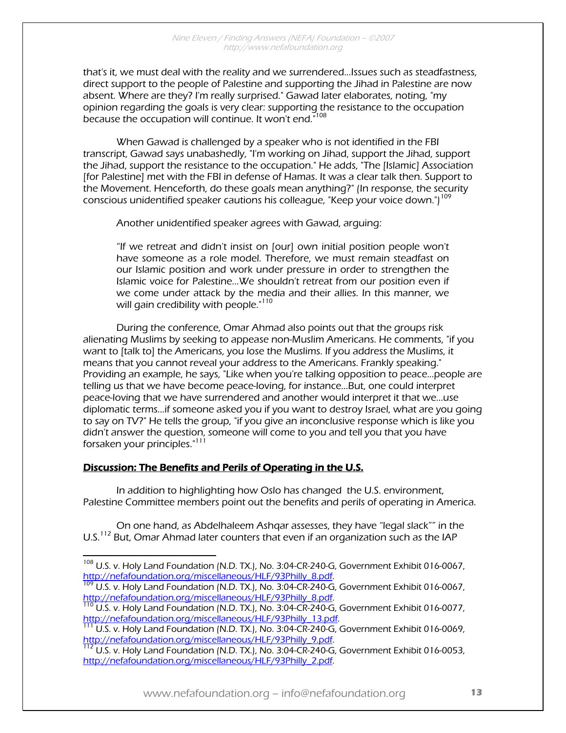that's it, we must deal with the reality and we surrendered...Issues such as steadfastness, direct support to the people of Palestine and supporting the Jihad in Palestine are now absent. Where are they? I'm really surprised." Gawad later elaborates, noting, "my opinion regarding the goals is very clear: supporting the resistance to the occupation because the occupation will continue. It won't end."<sup>108</sup>

When Gawad is challenged by a speaker who is not identified in the FBI transcript, Gawad says unabashedly, "I'm working on Jihad, support the Jihad, support the Jihad, support the resistance to the occupation." He adds, "The [Islamic] Association [for Palestine] met with the FBI in defense of Hamas. It was a clear talk then. Support to the Movement. Henceforth, do these goals mean anything?" (In response, the security conscious unidentified speaker cautions his colleague, "Keep your voice down.")<sup>109</sup>

Another unidentified speaker agrees with Gawad, arguing:

"If we retreat and didn't insist on [our] own initial position people won't have someone as a role model. Therefore, we must remain steadfast on our Islamic position and work under pressure in order to strengthen the Islamic voice for Palestine...We shouldn't retreat from our position even if we come under attack by the media and their allies. In this manner, we will gain credibility with people."<sup>110</sup>

During the conference, Omar Ahmad also points out that the groups risk alienating Muslims by seeking to appease non-Muslim Americans. He comments, "if you want to [talk to] the Americans, you lose the Muslims. If you address the Muslims, it means that you cannot reveal your address to the Americans. Frankly speaking." Providing an example, he says, "Like when you're talking opposition to peace...people are telling us that we have become peace-loving, for instance...But, one could interpret peace-loving that we have surrendered and another would interpret it that we...use diplomatic terms...if someone asked you if you want to destroy Israel, what are you going to say on TV?" He tells the group, "if you give an inconclusive response which is like you didn't answer the question, someone will come to you and tell you that you have forsaken your principles."111

#### Discussion: The Benefits and Perils of Operating in the U.S.

 $\overline{a}$ 

 In addition to highlighting how Oslo has changed the U.S. environment, Palestine Committee members point out the benefits and perils of operating in America.

 On one hand, as Abdelhaleem Ashqar assesses, they have "legal slack"" in the U.S.<sup>112</sup> But, Omar Ahmad later counters that even if an organization such as the IAP

<sup>&</sup>lt;sup>108</sup> U.S. v. Holy Land Foundation (N.D. TX.), No. 3:04-CR-240-G, Government Exhibit 016-0067,

http://nefafoundation.org/miscellaneous/HLF/93Philly\_8.pdf.<br><sup>109</sup> U.S. v. Holy Land Foundation (N.D. TX.), No. 3:04-CR-240-G, Government Exhibit 016-0067,<br>http://nefafoundation.org/miscellaneous/HLF/93Philly\_8.pdf.

 $\frac{110}{110}$  U.S. v. Holy Land Foundation (N.D. TX.), No. 3:04-CR-240-G, Government Exhibit 016-0077, http://nefafoundation.org/miscellaneous/HLF/93Philly\_13.pdf.<br><sup>111</sup> U.S. v. Holy Land Foundation (N.D. TX.), No. 3:04-CR-240-G, Government Exhibit 016-0069,

http://nefafoundation.org/miscellaneous/HLF/93Philly\_9.pdf.<br><sup>112</sup> U.S. v. Holy Land Foundation (N.D. TX.), No. 3:04-CR-240-G, Government Exhibit 016-0053,

http://nefafoundation.org/miscellaneous/HLF/93Philly\_2.pdf.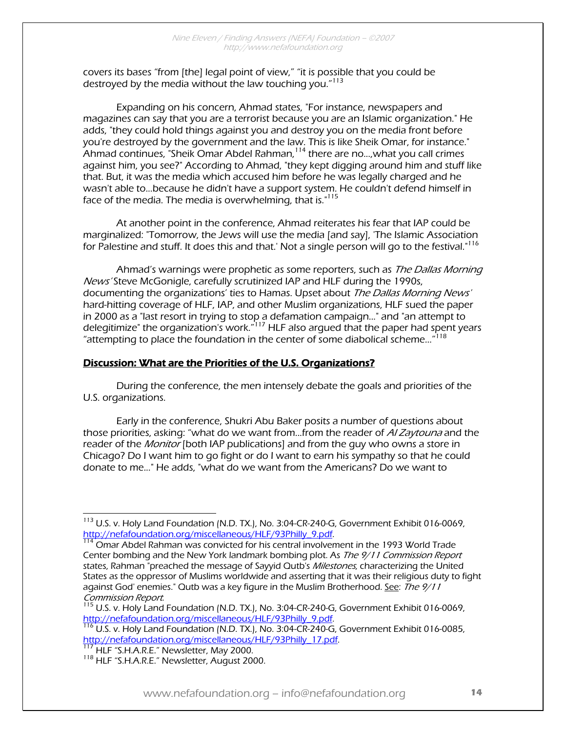covers its bases "from [the] legal point of view," "it is possible that you could be destroyed by the media without the law touching you."<sup>113</sup>

Expanding on his concern, Ahmad states, "For instance, newspapers and magazines can say that you are a terrorist because you are an Islamic organization." He adds, "they could hold things against you and destroy you on the media front before you're destroyed by the government and the law. This is like Sheik Omar, for instance." Ahmad continues, "Sheik Omar Abdel Rahman,114 there are no...,what you call crimes against him, you see?" According to Ahmad, "they kept digging around him and stuff like that. But, it was the media which accused him before he was legally charged and he wasn't able to...because he didn't have a support system. He couldn't defend himself in face of the media. The media is overwhelming, that is."<sup>115</sup>

At another point in the conference, Ahmad reiterates his fear that IAP could be marginalized: "Tomorrow, the Jews will use the media [and say], 'The Islamic Association for Palestine and stuff. It does this and that.' Not a single person will go to the festival."<sup>116</sup>

Ahmad's warnings were prophetic as some reporters, such as The Dallas Morning News' Steve McGonigle, carefully scrutinized IAP and HLF during the 1990s, documenting the organizations' ties to Hamas. Upset about The Dallas Morning News' hard-hitting coverage of HLF, IAP, and other Muslim organizations, HLF sued the paper in 2000 as a "last resort in trying to stop a defamation campaign..." and "an attempt to delegitimize" the organization's work."117 HLF also argued that the paper had spent years "attempting to place the foundation in the center of some diabolical scheme…"<sup>118</sup>

#### Discussion: What are the Priorities of the U.S. Organizations?

 During the conference, the men intensely debate the goals and priorities of the U.S. organizations.

 Early in the conference, Shukri Abu Baker posits a number of questions about those priorities, asking: "what do we want from...from the reader of AI Zaytouna and the reader of the *Monitor* [both IAP publications] and from the guy who owns a store in Chicago? Do I want him to go fight or do I want to earn his sympathy so that he could donate to me..." He adds, "what do we want from the Americans? Do we want to

 $^{115}$  U.S. v. Holy Land Foundation (N.D. TX.), No. 3:04-CR-240-G, Government Exhibit 016-0069, http://nefafoundation.org/miscellaneous/HLF/93Philly\_9.pdf.<br><sup>116</sup> U.S. v. Holy Land Foundation (N.D. TX.), No. 3:04-CR-240-G, Government Exhibit 016-0085,

http://nefafoundation.org/miscellaneous/HLF/93Philly\_17.pdf. <sup>117</sup> HLF "S.H.A.R.E." Newsletter, May 2000. <sup>118</sup> HLF "S.H.A.R.E." Newsletter, August 2000.

<sup>&</sup>lt;sup>113</sup> U.S. v. Holy Land Foundation (N.D. TX.), No. 3:04-CR-240-G, Government Exhibit 016-0069, http://nefafoundation.org/miscellaneous/HLF/93Philly\_9.pdf.<br><sup>114</sup> Omar Abdel Rahman was convicted for his central involvement in the 1993 World Trade

Center bombing and the New York landmark bombing plot. As The 9/11 Commission Report states, Rahman "preached the message of Sayyid Outb's Milestones, characterizing the United States as the oppressor of Muslims worldwide and asserting that it was their religious duty to fight against God' enemies." Outb was a key figure in the Muslim Brotherhood. <u>See</u>: *The 9/11*<br>Commission Report.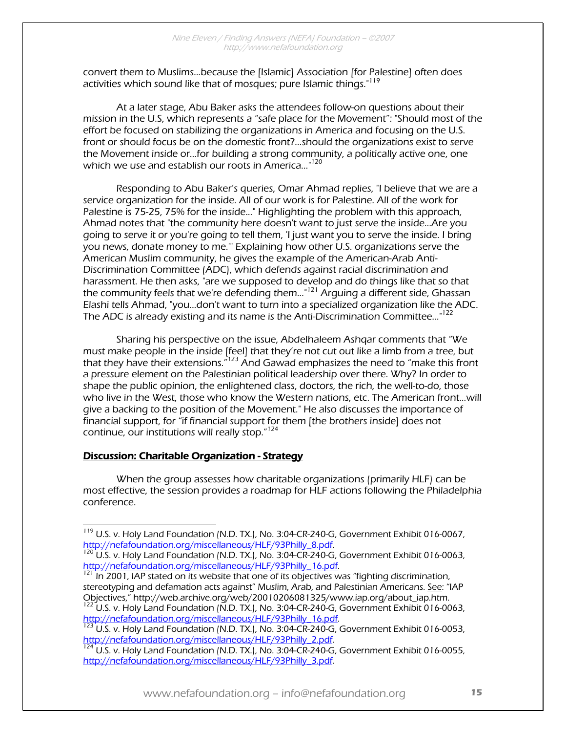convert them to Muslims...because the [Islamic] Association [for Palestine] often does activities which sound like that of mosques; pure Islamic things."<sup>119</sup>

At a later stage, Abu Baker asks the attendees follow-on questions about their mission in the U.S, which represents a "safe place for the Movement": "Should most of the effort be focused on stabilizing the organizations in America and focusing on the U.S. front or should focus be on the domestic front?...should the organizations exist to serve the Movement inside or...for building a strong community, a politically active one, one which we use and establish our roots in America...<sup>"120</sup>

Responding to Abu Baker's queries, Omar Ahmad replies, "I believe that we are a service organization for the inside. All of our work is for Palestine. All of the work for Palestine is 75-25, 75% for the inside..." Highlighting the problem with this approach, Ahmad notes that "the community here doesn't want to just serve the inside...Are you going to serve it or you're going to tell them, 'I just want you to serve the inside. I bring you news, donate money to me.'" Explaining how other U.S. organizations serve the American Muslim community, he gives the example of the American-Arab Anti-Discrimination Committee (ADC), which defends against racial discrimination and harassment. He then asks, "are we supposed to develop and do things like that so that the community feels that we're defending them..."121 Arguing a different side, Ghassan Elashi tells Ahmad, "you...don't want to turn into a specialized organization like the ADC. The ADC is already existing and its name is the Anti-Discrimination Committee..."<sup>122</sup>

Sharing his perspective on the issue, Abdelhaleem Ashqar comments that "We must make people in the inside [feel] that they're not cut out like a limb from a tree, but that they have their extensions.<sup>"123</sup> And Gawad emphasizes the need to "make this front a pressure element on the Palestinian political leadership over there. Why? In order to shape the public opinion, the enlightened class, doctors, the rich, the well-to-do, those who live in the West, those who know the Western nations, etc. The American front...will give a backing to the position of the Movement." He also discusses the importance of financial support, for "if financial support for them [the brothers inside] does not continue, our institutions will really stop."<sup>124</sup>

#### Discussion: Charitable Organization - Strategy

 $\overline{a}$ 

When the group assesses how charitable organizations (primarily HLF) can be most effective, the session provides a roadmap for HLF actions following the Philadelphia conference.

<sup>&</sup>lt;sup>119</sup> U.S. v. Holy Land Foundation (N.D. TX.), No. 3:04-CR-240-G, Government Exhibit 016-0067,

http://nefafoundation.org/miscellaneous/HLF/93Philly\_8.pdf.<br><sup>120</sup> U.S. v. Holy Land Foundation (N.D. TX.), No. 3:04-CR-240-G, Government Exhibit 016-0063,<br>http://nefafoundation.org/miscellaneous/HLF/93Philly\_16.pdf.

In 2001, IAP stated on its website that one of its objectives was "fighting discrimination, stereotyping and defamation acts against" Muslim, Arab, and Palestinian Americans. <u>See</u>: "IAP<br>Objectives," http://web.archive.org/web/20010206081325/www.iap.org/about\_iap.htm.

 $^{122}$  U.S. v. Holy Land Foundation (N.D. TX.), No. 3:04-CR-240-G, Government Exhibit 016-0063, http://nefafoundation.org/miscellaneous/HLF/93Philly\_16.pdf.<br><sup>123</sup> U.S. v. Holy Land Foundation (N.D. TX.), No. 3:04-CR-240-G, Government Exhibit 016-0053,

http://nefafoundation.org/miscellaneous/HLF/93Philly\_2.pdf.<br><sup>124</sup> U.S. v. Holy Land Foundation (N.D. TX.), No. 3:04-CR-240-G, Government Exhibit 016-0055,

http://nefafoundation.org/miscellaneous/HLF/93Philly\_3.pdf.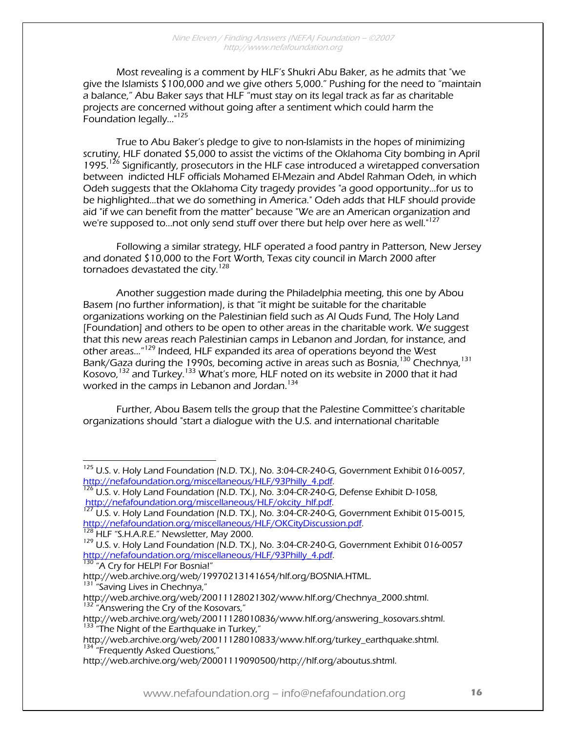Most revealing is a comment by HLF's Shukri Abu Baker, as he admits that "we give the Islamists \$100,000 and we give others 5,000." Pushing for the need to "maintain a balance," Abu Baker says that HLF "must stay on its legal track as far as charitable projects are concerned without going after a sentiment which could harm the Foundation legally...<sup>"125</sup>

True to Abu Baker's pledge to give to non-Islamists in the hopes of minimizing scrutiny, HLF donated \$5,000 to assist the victims of the Oklahoma City bombing in April 1995.<sup>126</sup> Significantly, prosecutors in the HLF case introduced a wiretapped conversation between indicted HLF officials Mohamed El-Mezain and Abdel Rahman Odeh, in which Odeh suggests that the Oklahoma City tragedy provides "a good opportunity...for us to be highlighted...that we do something in America." Odeh adds that HLF should provide aid "if we can benefit from the matter" because "We are an American organization and we're supposed to...not only send stuff over there but help over here as well."<sup>127</sup>

Following a similar strategy, HLF operated a food pantry in Patterson, New Jersey and donated \$10,000 to the Fort Worth, Texas city council in March 2000 after tornadoes devastated the city.<sup>128</sup>

Another suggestion made during the Philadelphia meeting, this one by Abou Basem (no further information), is that "it might be suitable for the charitable organizations working on the Palestinian field such as Al Quds Fund, The Holy Land [Foundation] and others to be open to other areas in the charitable work. We suggest that this new areas reach Palestinian camps in Lebanon and Jordan, for instance, and other areas...<sup>"129</sup> Indeed, HLF expanded its area of operations beyond the West Bank/Gaza during the 1990s, becoming active in areas such as Bosnia,<sup>130</sup> Chechnya,<sup>131</sup> Kosovo,<sup>132</sup> and Turkey.<sup>133</sup> What's more, HLF noted on its website in 2000 that it had worked in the camps in Lebanon and Jordan.<sup>134</sup>

Further, Abou Basem tells the group that the Palestine Committee's charitable organizations should "start a dialogue with the U.S. and international charitable

 $125$  U.S. v. Holy Land Foundation (N.D. TX.), No. 3:04-CR-240-G, Government Exhibit 016-0057, http://nefafoundation.org/miscellaneous/HLF/93Philly\_4.pdf.<br><sup>126</sup> U.S. v. Holy Land Foundation (N.D. TX.), No. 3:04-CR-240-G, Defense Exhibit D-1058,

http://nefafoundation.org/miscellaneous/HLF/okcity\_hlf.pdf.<br><sup>127</sup> U.S. v. Holy Land Foundation (N.D. TX.), No. 3:04-CR-240-G, Government Exhibit 015-0015,<br>http://nefafoundation.org/miscellaneous/HLF/OKCityDiscussion.pdf.

<sup>&</sup>lt;sup>128</sup> HLF "S.H.A.R.E." Newsletter, May 2000.<br><sup>129</sup> U.S. v. Holv Land Foundation (N.D. TX.), No. 3:04-CR-240-G, Government Exhibit 016-0057 http://nefafoundation.org/miscellaneous/HLF/93Philly\_4.pdf.<br><sup>130</sup> "A Cry for HELP! For Bosnia!"

http://web.archive.org/web/19970213141654/hlf.org/BOSNIA.HTML. <sup>131</sup> "Saving Lives in Chechnya,"

http://web.archive.org/web/20011128021302/www.hlf.org/Chechnya\_2000.shtml.<br><sup>132</sup> "Answering the Cry of the Kosovars,"

http://web.archive.org/web/20011128010836/www.hlf.org/answering\_kosovars.shtml.<br><sup>133</sup> "The Night of the Earthquake in Turkey,"

http://web.archive.org/web/20011128010833/www.hlf.org/turkey\_earthquake.shtml.<br><sup>134</sup> "Frequently Asked Questions,"

http://web.archive.org/web/20001119090500/http://hlf.org/aboutus.shtml.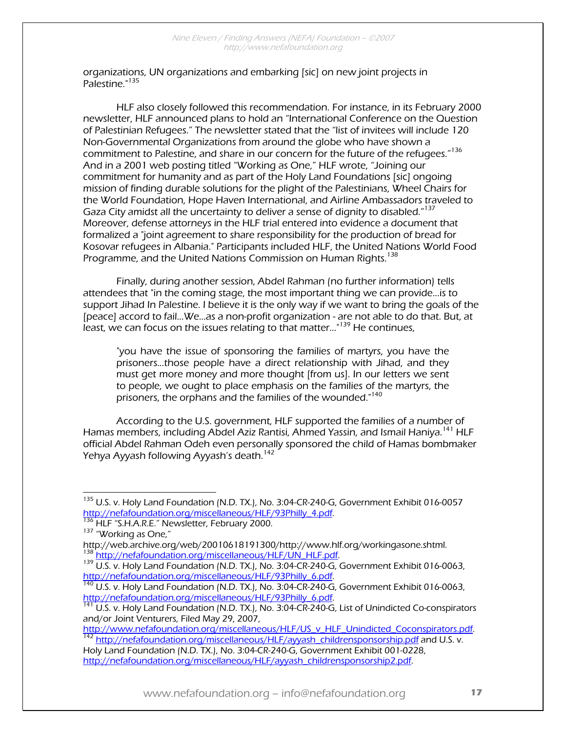organizations, UN organizations and embarking [sic] on new joint projects in Palestine."135

HLF also closely followed this recommendation. For instance, in its February 2000 newsletter, HLF announced plans to hold an "International Conference on the Question of Palestinian Refugees." The newsletter stated that the "list of invitees will include 120 Non-Governmental Organizations from around the globe who have shown a commitment to Palestine, and share in our concern for the future of the refugees."<sup>136</sup> And in a 2001 web posting titled "Working as One," HLF wrote, "Joining our commitment for humanity and as part of the Holy Land Foundations [sic] ongoing mission of finding durable solutions for the plight of the Palestinians, Wheel Chairs for the World Foundation, Hope Haven International, and Airline Ambassadors traveled to Gaza City amidst all the uncertainty to deliver a sense of dignity to disabled."<sup>137</sup> Moreover, defense attorneys in the HLF trial entered into evidence a document that formalized a "joint agreement to share responsibility for the production of bread for Kosovar refugees in Albania." Participants included HLF, the United Nations World Food Programme, and the United Nations Commission on Human Rights.<sup>138</sup>

Finally, during another session, Abdel Rahman (no further information) tells attendees that "in the coming stage, the most important thing we can provide...is to support Jihad In Palestine. I believe it is the only way if we want to bring the goals of the [peace] accord to fail...We...as a non-profit organization - are not able to do that. But, at least, we can focus on the issues relating to that matter..."<sup>139</sup> He continues,

"you have the issue of sponsoring the families of martyrs, you have the prisoners...those people have a direct relationship with Jihad, and they must get more money and more thought [from us]. In our letters we sent to people, we ought to place emphasis on the families of the martyrs, the prisoners, the orphans and the families of the wounded.<sup>"140</sup>

According to the U.S. government, HLF supported the families of a number of Hamas members, including Abdel Aziz Rantisi, Ahmed Yassin, and Ismail Haniya.<sup>141</sup> HLF official Abdel Rahman Odeh even personally sponsored the child of Hamas bombmaker Yehya Ayyash following Ayyash's death.<sup>142</sup>

 $h^{142}$  http://nefafoundation.org/miscellaneous/HLF/ayyash\_childrensponsorship.pdf and U.S. v.

Holy Land Foundation (N.D. TX.), No. 3:04-CR-240-G, Government Exhibit 001-0228, http://nefafoundation.org/miscellaneous/HLF/ayyash\_childrensponsorship2.pdf.

 $\overline{a}$ <sup>135</sup> U.S. v. Holy Land Foundation (N.D. TX.), No. 3:04-CR-240-G, Government Exhibit 016-0057 http://nefafoundation.org/miscellaneous/HLF/93Philly 4.pdf. 136 HLF "S.H.A.R.E." Newsletter, February 2000.<br>
137 "Working as One,"<br>
http://web.archive.org/web/20010618191300/http://www.hlf.org/workingasone.shtml.

<sup>&</sup>lt;sup>138</sup> http://nefafoundation.org/miscellaneous/HLF/UN\_HLF.pdf.<br><sup>139</sup> U.S. v. Holy Land Foundation (N.D. TX.), No. 3:04-CR-240-G, Government Exhibit 016-0063,

http://nefafoundation.org/miscellaneous/HLF/93Philly\_6.pdf.<br><sup>140</sup> U.S. v. Holy Land Foundation (N.D. TX.), No. 3:04-CR-240-G, Government Exhibit 016-0063,<br>http://nefafoundation.org/miscellaneous/HLF/93Philly\_6.pdf.

U.S. v. Holy Land Foundation (N.D. TX.), No. 3:04-CR-240-G, List of Unindicted Co-conspirators and/or Joint Venturers, Filed May 29, 2007,<br>http://www.nefafoundation.org/miscellaneous/HLF/US\_v\_HLF\_Unindicted\_Coconspirators.pdf.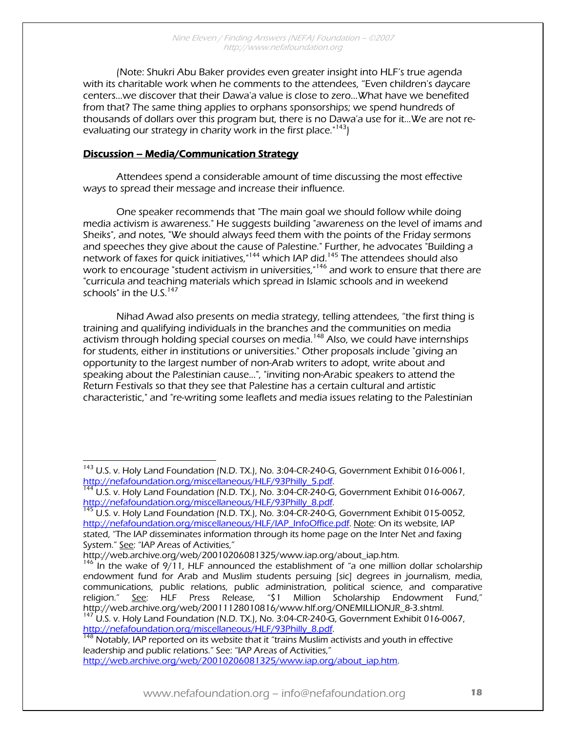(Note: Shukri Abu Baker provides even greater insight into HLF's true agenda with its charitable work when he comments to the attendees, "Even children's daycare centers...we discover that their Dawa'a value is close to zero...What have we benefited from that? The same thing applies to orphans sponsorships; we spend hundreds of thousands of dollars over this program but, there is no Dawa'a use for it...We are not reevaluating our strategy in charity work in the first place."<sup>143</sup>)

#### Discussion – Media/Communication Strategy

 $\overline{a}$ 

 Attendees spend a considerable amount of time discussing the most effective ways to spread their message and increase their influence.

 One speaker recommends that "The main goal we should follow while doing media activism is awareness." He suggests building "awareness on the level of imams and Sheiks", and notes, "We should always feed them with the points of the Friday sermons and speeches they give about the cause of Palestine." Further, he advocates "Building a network of faxes for quick initiatives,"<sup>144</sup> which IAP did.<sup>145</sup> The attendees should also work to encourage "student activism in universities,"<sup>146</sup> and work to ensure that there are "curricula and teaching materials which spread in Islamic schools and in weekend schools" in the U.S.<sup>147</sup>

 Nihad Awad also presents on media strategy, telling attendees, "the first thing is training and qualifying individuals in the branches and the communities on media activism through holding special courses on media.<sup>148</sup> Also, we could have internships for students, either in institutions or universities." Other proposals include "giving an opportunity to the largest number of non-Arab writers to adopt, write about and speaking about the Palestinian cause...", "inviting non-Arabic speakers to attend the Return Festivals so that they see that Palestine has a certain cultural and artistic characteristic," and "re-writing some leaflets and media issues relating to the Palestinian

<sup>&</sup>lt;sup>143</sup> U.S. v. Holy Land Foundation (N.D. TX.), No. 3:04-CR-240-G, Government Exhibit 016-0061,

http://nefafoundation.org/miscellaneous/HLF/93Philly\_5.pdf.<br><sup>144</sup> U.S. v. Holy Land Foundation (N.D. TX.), No. 3:04-CR-240-G, Government Exhibit 016-0067,<br>http://nefafoundation.org/miscellaneous/HLF/93Philly\_8.pdf.

<sup>145</sup> U.S. v. Holy Land Foundation (N.D. TX.), No. 3:04-CR-240-G, Government Exhibit 015-0052, http://nefafoundation.org/miscellaneous/HLF/IAP\_InfoOffice.pdf. Note: On its website, IAP stated, "The IAP disseminates information through its home page on the Inter Net and faxing System." <u>See</u>: "IAP Areas of Activities,"<br>http://web.archive.org/web/20010206081325/www.iap.org/about\_iap.htm.

<sup>&</sup>lt;sup>146</sup> In the wake of 9/11, HLF announced the establishment of "a one million dollar scholarship endowment fund for Arab and Muslim students persuing [sic] degrees in journalism, media, communications, public relations, public administration, political science, and comparative religion." See: HLF Press Release, "\$1 Million Scholarship Endowment Fund." religion." See: HLF Press Release, "\$1 Million Scholarship Endowment Fund," http://web.archive.org/web/20011128010816/www.hlf.org/ONEMILLIONJR\_8-3.shtml.<br><sup>147</sup> U.S. v. Holy Land Foundation (N.D. TX.), No. 3:04-CR-240-G, Government Exhibit 016-0067,

http://nefafoundation.org/miscellaneous/HLF/93Philly\_8.pdf.<br><sup>148</sup> Notably, IAP reported on its website that it "trains Muslim activists and youth in effective

leadership and public relations." See: "IAP Areas of Activities," http://web.archive.org/web/20010206081325/www.iap.org/about\_iap.htm.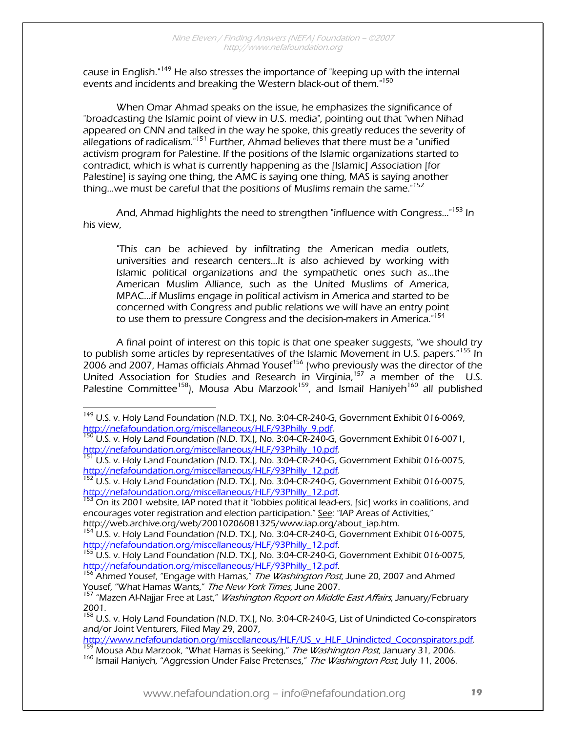cause in English."149 He also stresses the importance of "keeping up with the internal events and incidents and breaking the Western black-out of them."<sup>150</sup>

 When Omar Ahmad speaks on the issue, he emphasizes the significance of "broadcasting the Islamic point of view in U.S. media", pointing out that "when Nihad appeared on CNN and talked in the way he spoke, this greatly reduces the severity of allegations of radicalism."151 Further, Ahmad believes that there must be a "unified activism program for Palestine. If the positions of the Islamic organizations started to contradict, which is what is currently happening as the [Islamic] Association [for Palestine] is saying one thing, the AMC is saying one thing, MAS is saying another thing...we must be careful that the positions of Muslims remain the same."<sup>152</sup>

And, Ahmad highlights the need to strengthen "influence with Congress..."<sup>153</sup> In his view,

"This can be achieved by infiltrating the American media outlets, universities and research centers...It is also achieved by working with Islamic political organizations and the sympathetic ones such as...the American Muslim Alliance, such as the United Muslims of America, MPAC...if Muslims engage in political activism in America and started to be concerned with Congress and public relations we will have an entry point to use them to pressure Congress and the decision-makers in America.<sup>"154</sup>

A final point of interest on this topic is that one speaker suggests, "we should try to publish some articles by representatives of the Islamic Movement in U.S. papers.<sup>"155</sup> In 2006 and 2007, Hamas officials Ahmad Yousef<sup>156</sup> (who previously was the director of the United Association for Studies and Research in Virginia,<sup>157</sup> a member of the U.S. Palestine Committee<sup>158</sup>), Mousa Abu Marzook<sup>159</sup>, and Ismail Haniyeh<sup>160</sup> all published

<sup>&</sup>lt;sup>149</sup> U.S. v. Holy Land Foundation (N.D. TX.), No. 3:04-CR-240-G, Government Exhibit 016-0069,

http://nefafoundation.org/miscellaneous/HLF/93Philly\_9.pdf.<br><sup>150</sup> U.S. v. Holy Land Foundation (N.D. TX.), No. 3:04-CR-240-G, Government Exhibit 016-0071,<br>http://nefafoundation.org/miscellaneous/HLF/93Philly\_10.pdf.

<sup>&</sup>lt;sup>151</sup> U.S. v. Holy Land Foundation (N.D. TX.), No. 3:04-CR-240-G, Government Exhibit 016-0075,<br>http://nefafoundation.org/miscellaneous/HLF/93Philly 12.pdf.

 $\frac{152}{152}$  U.S. v. Holy Land Foundation (N.D. TX.), No. 3:04-CR-240-G, Government Exhibit 016-0075, http://nefafoundation.org/miscellaneous/HLF/93Philly\_12.pdf.<br><sup>153</sup> On its 2001 website, IAP noted that it "lobbies political lead-ers, [sic] works in coalitions, and

encourages voter registration and election participation." See: "IAP Areas of Activities,"<br>http://web.archive.org/web/20010206081325/www.iap.org/about\_iap.htm.

<sup>&</sup>lt;sup>154</sup> U.S. v. Holy Land Foundation (N.D. TX.), No. 3:04-CR-240-G, Government Exhibit 016-0075, http://nefafoundation.org/miscellaneous/HLF/93Philly 12.pdf.

http://nefafoundation.org/miscellaneous/HLF/93Philly\_12.pdf. Government Exhibit 016-0075,<br>http://nefafoundation.org/miscellaneous/HLF/93Philly\_12.pdf.

<sup>&</sup>lt;sup>156</sup> Ahmed Yousef, "Engage with Hamas," *The Washington Post*, June 20, 2007 and Ahmed Yousef, "What Hamas Wants," The New York Times, June 2007.

<sup>&</sup>lt;sup>157</sup> "Mazen Al-Najjar Free at Last," *Washington Report on Middle East Affairs*, January/February 2001.

<sup>&</sup>lt;sup>158</sup> U.S. v. Holy Land Foundation (N.D. TX.), No. 3:04-CR-240-G, List of Unindicted Co-conspirators and/or Joint Venturers, Filed May 29, 2007,<br>http://www.nefafoundation.org/miscellaneous/HLF/US v HLF Unindicted Coconspirators.pdf.

<sup>&</sup>lt;sup>159</sup> Mousa Abu Marzook, "What Hamas is Seeking," *The Washington Post*, January 31, 2006.<br><sup>160</sup> Ismail Haniyeh, "Aggression Under False Pretenses," *The Washington Post*, July 11, 2006.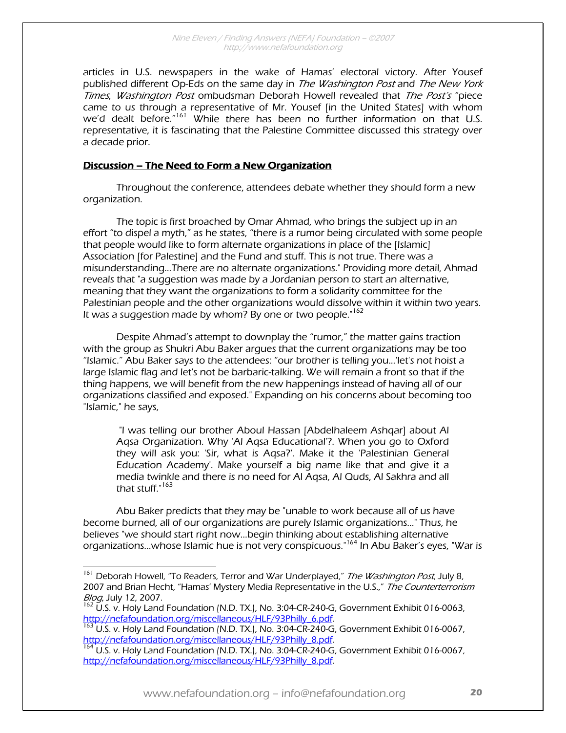articles in U.S. newspapers in the wake of Hamas' electoral victory. After Yousef published different Op-Eds on the same day in The Washington Post and The New York Times, Washington Post ombudsman Deborah Howell revealed that The Post's "piece came to us through a representative of Mr. Yousef [in the United States] with whom we'd dealt before."<sup>161</sup> While there has been no further information on that U.S. representative, it is fascinating that the Palestine Committee discussed this strategy over a decade prior.

#### Discussion – The Need to Form a New Organization

Throughout the conference, attendees debate whether they should form a new organization.

 The topic is first broached by Omar Ahmad, who brings the subject up in an effort "to dispel a myth," as he states, "there is a rumor being circulated with some people that people would like to form alternate organizations in place of the [Islamic] Association [for Palestine] and the Fund and stuff. This is not true. There was a misunderstanding...There are no alternate organizations." Providing more detail, Ahmad reveals that "a suggestion was made by a Jordanian person to start an alternative, meaning that they want the organizations to form a solidarity committee for the Palestinian people and the other organizations would dissolve within it within two years. It was a suggestion made by whom? By one or two people. $162$ 

Despite Ahmad's attempt to downplay the "rumor," the matter gains traction with the group as Shukri Abu Baker argues that the current organizations may be too "Islamic." Abu Baker says to the attendees: "our brother is telling you...'let's not hoist a large Islamic flag and let's not be barbaric-talking. We will remain a front so that if the thing happens, we will benefit from the new happenings instead of having all of our organizations classified and exposed." Expanding on his concerns about becoming too "Islamic," he says,

 "I was telling our brother Aboul Hassan [Abdelhaleem Ashqar] about Al Aqsa Organization. Why 'Al Aqsa Educational'?. When you go to Oxford they will ask you: 'Sir, what is Aqsa?'. Make it the 'Palestinian General Education Academy'. Make yourself a big name like that and give it a media twinkle and there is no need for Al Aqsa, Al Quds, Al Sakhra and all that stuff."<sup>163</sup>

Abu Baker predicts that they may be "unable to work because all of us have become burned, all of our organizations are purely Islamic organizations..." Thus, he believes "we should start right now...begin thinking about establishing alternative organizations...whose Islamic hue is not very conspicuous."<sup>164</sup> In Abu Baker's eyes, "War is

<sup>&</sup>lt;sup>161</sup> Deborah Howell, "To Readers, Terror and War Underplayed," *The Washington Post*, July 8, 2007 and Brian Hecht, "Hamas' Mystery Media Representative in the U.S.," The Counterterrorism

*Blog*, July 12, 2007.<br><sup>162</sup> U.S. v. Holy Land Foundation (N.D. TX.), No. 3:04-CR-240-G, Government Exhibit 016-0063,

http://nefafoundation.org/miscellaneous/HLF/93Philly\_6.pdf.<br><sup>163</sup> U.S. v. Holy Land Foundation (N.D. TX.), No. 3:04-CR-240-G, Government Exhibit 016-0067, http://nefafoundation.org/miscellaneous/HLF/93Philly\_8.pdf.<br><sup>164</sup> U.S. v. Holy Land Foundation (N.D. TX.), No. 3:04-CR-240-G, Government Exhibit 016-0067,

http://nefafoundation.org/miscellaneous/HLF/93Philly\_8.pdf.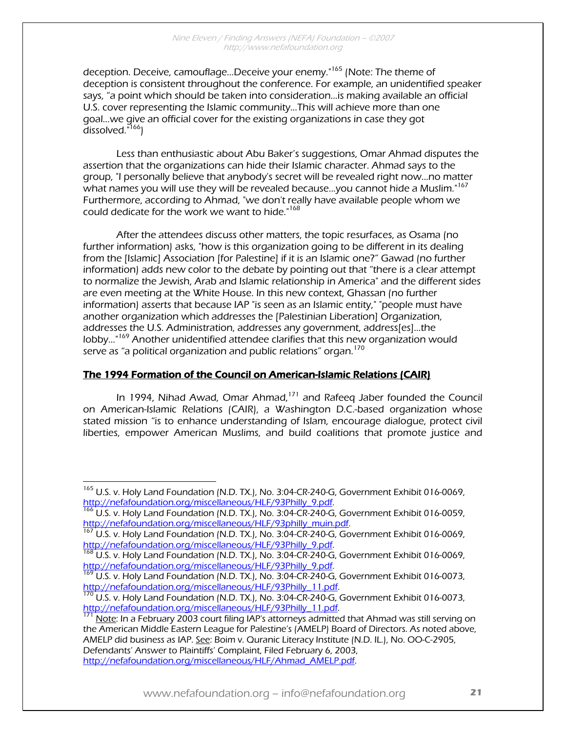deception. Deceive, camouflage...Deceive your enemy."<sup>165</sup> (Note: The theme of deception is consistent throughout the conference. For example, an unidentified speaker says, "a point which should be taken into consideration…is making available an official U.S. cover representing the Islamic community...This will achieve more than one goal...we give an official cover for the existing organizations in case they got dissolved."166)

Less than enthusiastic about Abu Baker's suggestions, Omar Ahmad disputes the assertion that the organizations can hide their Islamic character. Ahmad says to the group, "I personally believe that anybody's secret will be revealed right now...no matter what names you will use they will be revealed because...you cannot hide a Muslim."<sup>167</sup> Furthermore, according to Ahmad, "we don't really have available people whom we could dedicate for the work we want to hide."<sup>168</sup>

After the attendees discuss other matters, the topic resurfaces, as Osama (no further information) asks, "how is this organization going to be different in its dealing from the [Islamic] Association [for Palestine] if it is an Islamic one?" Gawad (no further information) adds new color to the debate by pointing out that "there is a clear attempt to normalize the Jewish, Arab and Islamic relationship in America" and the different sides are even meeting at the White House. In this new context, Ghassan (no further information) asserts that because IAP "is seen as an Islamic entity," "people must have another organization which addresses the [Palestinian Liberation] Organization, addresses the U.S. Administration, addresses any government, address[es]…the lobby..."169 Another unidentified attendee clarifies that this new organization would serve as "a political organization and public relations" organ.<sup>170</sup>

#### The 1994 Formation of the Council on American-Islamic Relations (CAIR)

In 1994, Nihad Awad, Omar Ahmad,<sup>171</sup> and Rafeeg Jaber founded the Council on American-Islamic Relations (CAIR), a Washington D.C.-based organization whose stated mission "is to enhance understanding of Islam, encourage dialogue, protect civil liberties, empower American Muslims, and build coalitions that promote justice and

<sup>&</sup>lt;sup>165</sup> U.S. v. Holy Land Foundation (N.D. TX.), No. 3:04-CR-240-G, Government Exhibit 016-0069,<br>http://nefafoundation.org/miscellaneous/HLF/93Philly 9.pdf.

<sup>&</sup>lt;sup>166</sup> U.S. v. Holy Land Foundation (N.D. TX.), No. 3:04-CR-240-G, Government Exhibit 016-0059,<br>http://nefafoundation.org/miscellaneous/HLF/93philly\_muin.pdf.<br><sup>167</sup> U.S. v. Holy Land Frugg L. (115, 000), 117, 2000

<sup>&</sup>lt;sup>167</sup> U.S. v. Holy Land Foundation (N.D. TX.), No. 3:04-CR-240-G, Government Exhibit 016-0069,<br>http://nefafoundation.org/miscellaneous/HLF/93Philly 9.pdf.

<sup>&</sup>lt;sup>168</sup> U.S. v. Holy Land Foundation (N.D. TX.), No. 3:04-CR-240-G, Government Exhibit 016-0069, http://nefafoundation.org/miscellaneous/HLF/93Philly 9.pdf.

http://nefatous/Hubridgellaneous/H.F.J. No. 3:04-CR-240-G, Government Exhibit 016-0073,

http://nefafoundation.org/miscellaneous/HLF/93Philly\_11.pdf.<br><sup>170</sup> U.S. v. Holy Land Foundation (N.D. TX.), No. 3:04-CR-240-G, Government Exhibit 016-0073,<br>http://nefafoundation.org/miscellaneous/HLF/93Philly\_11.pdf.

hote: In a February 2003 court filing IAP's attorneys admitted that Ahmad was still serving on the American Middle Eastern League for Palestine's (AMELP) Board of Directors. As noted above, AMELP did business as IAP. See: Boim v. Quranic Literacy Institute (N.D. IL.), No. OO-C-2905, Defendants' Answer to Plaintiffs' Complaint, Filed February 6, 2003, http://nefafoundation.org/miscellaneous/HLF/Ahmad\_AMELP.pdf.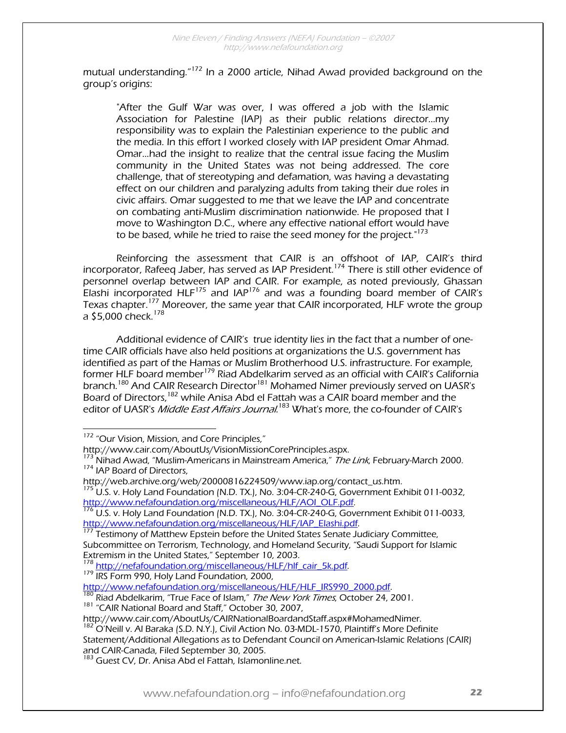mutual understanding."172 In a 2000 article, Nihad Awad provided background on the group's origins:

"After the Gulf War was over, I was offered a job with the Islamic Association for Palestine (IAP) as their public relations director...my responsibility was to explain the Palestinian experience to the public and the media. In this effort I worked closely with IAP president Omar Ahmad. Omar...had the insight to realize that the central issue facing the Muslim community in the United States was not being addressed. The core challenge, that of stereotyping and defamation, was having a devastating effect on our children and paralyzing adults from taking their due roles in civic affairs. Omar suggested to me that we leave the IAP and concentrate on combating anti-Muslim discrimination nationwide. He proposed that I move to Washington D.C., where any effective national effort would have to be based, while he tried to raise the seed money for the project."<sup>173</sup>

Reinforcing the assessment that CAIR is an offshoot of IAP, CAIR's third incorporator, Rafeeq Jaber, has served as IAP President.174 There is still other evidence of personnel overlap between IAP and CAIR. For example, as noted previously, Ghassan Elashi incorporated HLF175 and IAP176 and was a founding board member of CAIR's Texas chapter.<sup>177</sup> Moreover, the same year that CAIR incorporated, HLF wrote the group a \$5,000 check.<sup>178</sup>

Additional evidence of CAIR's true identity lies in the fact that a number of onetime CAIR officials have also held positions at organizations the U.S. government has identified as part of the Hamas or Muslim Brotherhood U.S. infrastructure. For example, former HLF board member<sup>179</sup> Riad Abdelkarim served as an official with CAIR's California branch.<sup>180</sup> And CAIR Research Director<sup>181</sup> Mohamed Nimer previously served on UASR's Board of Directors,<sup>182</sup> while Anisa Abd el Fattah was a CAIR board member and the editor of UASR's *Middle East Affairs Journal.<sup>183</sup> What's more, the co-founder of CAIR's* 

 $\overline{a}$ 

<sup>178</sup> http://nefafoundation.org/miscellaneous/HLF/hlf\_cair\_5k.pdf.<br><sup>179</sup> IRS Form 990, Holy Land Foundation, 2000,<br>http://www.nefafoundation.org/miscellaneous/HLF/HLF\_IRS990\_2000.pdf.

<sup>180</sup> Riad Abdelkarim, "True Face of Islam," *The New York Times*, October 24, 2001.<br><sup>181</sup> "CAIR National Board and Staff," October 30, 2007,

http://www.cair.com/AboutUs/CAIRNationalBoardandStaff.aspx#MohamedNimer.<br><sup>182</sup> O'Neill v. Al Baraka (S.D. N.Y.), Civil Action No. 03-MDL-1570, Plaintiff's More Definite

Statement/Additional Allegations as to Defendant Council on American-Islamic Relations (CAIR)

<sup>&</sup>lt;sup>172</sup> "Our Vision, Mission, and Core Principles,"

http://www.cair.com/AboutUs/VisionMissionCorePrinciples.aspx.<br><sup>173</sup> Nihad Awad, "Muslim-Americans in Mainstream America," *The Link*, February-March 2000.<br><sup>174</sup> IAP Board of Directors,

http://web.archive.org/web/20000816224509/www.iap.org/contact\_us.htm.<br><sup>175</sup> U.S. v. Holy Land Foundation (N.D. TX.), No. 3:04-CR-240-G, Government Exhibit 011-0032,<br>http://www.nefafoundation.org/miscellaneous/HLF/AOLOLF.pd

 $\frac{176}{176}$  U.S. v. Holy Land Foundation (N.D. TX.), No. 3:04-CR-240-G, Government Exhibit 011-0033, http://www.nefafoundation.org/miscellaneous/HLF/IAP\_Elashi.pdf. 177 Testimony of Matthew Epstein before the United States Senate Judiciary Committee,

Subcommittee on Terrorism, Technology, and Homeland Security, "Saudi Support for Islamic Extremism in the United States," September 10, 2003.

<sup>&</sup>lt;sup>183</sup> Guest CV, Dr. Anisa Abd el Fattah, Islamonline.net.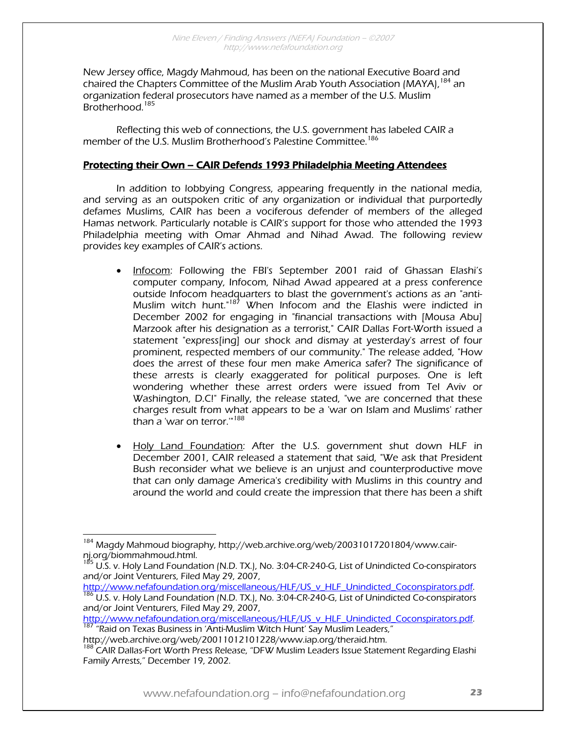New Jersey office, Magdy Mahmoud, has been on the national Executive Board and chaired the Chapters Committee of the Muslim Arab Youth Association (MAYA), <sup>184</sup> an organization federal prosecutors have named as a member of the U.S. Muslim Brotherhood.<sup>185</sup>

Reflecting this web of connections, the U.S. government has labeled CAIR a member of the U.S. Muslim Brotherhood's Palestine Committee.<sup>186</sup>

#### Protecting their Own – CAIR Defends 1993 Philadelphia Meeting Attendees

 In addition to lobbying Congress, appearing frequently in the national media, and serving as an outspoken critic of any organization or individual that purportedly defames Muslims, CAIR has been a vociferous defender of members of the alleged Hamas network. Particularly notable is CAIR's support for those who attended the 1993 Philadelphia meeting with Omar Ahmad and Nihad Awad. The following review provides key examples of CAIR's actions.

- Infocom: Following the FBI's September 2001 raid of Ghassan Elashi's computer company, Infocom, Nihad Awad appeared at a press conference outside Infocom headquarters to blast the government's actions as an "anti-Muslim witch hunt."<sup>187</sup> When Infocom and the Elashis were indicted in December 2002 for engaging in "financial transactions with [Mousa Abu] Marzook after his designation as a terrorist," CAIR Dallas Fort-Worth issued a statement "express[ing] our shock and dismay at yesterday's arrest of four prominent, respected members of our community." The release added, "How does the arrest of these four men make America safer? The significance of these arrests is clearly exaggerated for political purposes. One is left wondering whether these arrest orders were issued from Tel Aviv or Washington, D.C!" Finally, the release stated, "we are concerned that these charges result from what appears to be a 'war on Islam and Muslims' rather than a 'war on terror."<sup>188</sup>
- Holy Land Foundation: After the U.S. government shut down HLF in December 2001, CAIR released a statement that said, "We ask that President Bush reconsider what we believe is an unjust and counterproductive move that can only damage America's credibility with Muslims in this country and around the world and could create the impression that there has been a shift

http://www.nefafoundation.org/miscellaneous/HLF/US\_v\_HLF\_Unindicted\_Coconspirators.pdf.<br><sup>186</sup> U.S. v. Holy Land Foundation (N.D. TX.), No. 3:04-CR-240-G, List of Unindicted Co-conspirators and/or Joint Venturers, Filed May 29, 2007,

http://www.nefafoundation.org/miscellaneous/HLF/US\_v\_HLF\_Unindicted\_Coconspirators.pdf. 187 "Raid on Texas Business in 'Anti-Muslim Witch Hunt' Say Muslim Leaders,"

http://web.archive.org/web/20011012101228/www.iap.org/theraid.htm.

 $\overline{a}$ <sup>184</sup> Magdy Mahmoud biography, http://web.archive.org/web/20031017201804/www.cairnj.org/biommahmoud.html.

<sup>&</sup>lt;sup>185</sup> U.S. v. Holy Land Foundation (N.D. TX.), No. 3:04-CR-240-G, List of Unindicted Co-conspirators and/or Joint Venturers, Filed May 29, 2007,

<sup>&</sup>lt;sup>188</sup> CAIR Dallas-Fort Worth Press Release, "DFW Muslim Leaders Issue Statement Regarding Elashi Family Arrests," December 19, 2002.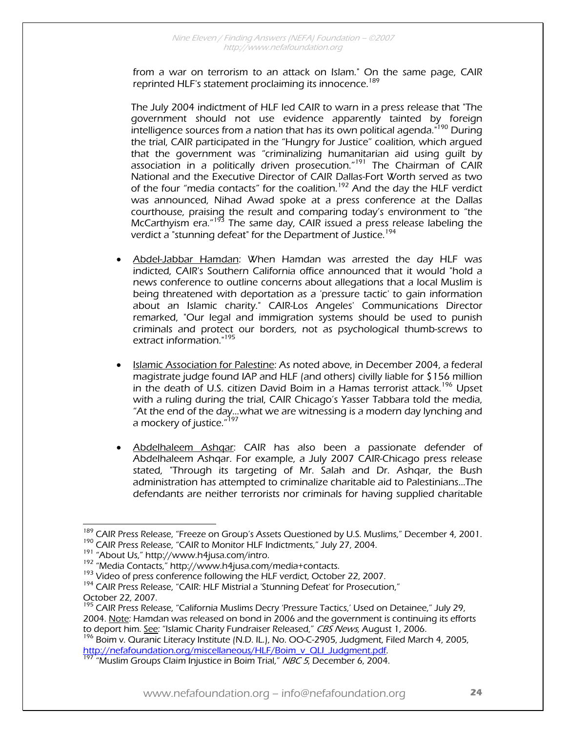from a war on terrorism to an attack on Islam." On the same page, CAIR reprinted HLF's statement proclaiming its innocence.<sup>189</sup>

The July 2004 indictment of HLF led CAIR to warn in a press release that "The government should not use evidence apparently tainted by foreign intelligence sources from a nation that has its own political agenda.<sup>"190</sup> During the trial, CAIR participated in the "Hungry for Justice" coalition, which argued that the government was "criminalizing humanitarian aid using guilt by association in a politically driven prosecution."<sup>191</sup> The Chairman of CAIR National and the Executive Director of CAIR Dallas-Fort Worth served as two of the four "media contacts" for the coalition.<sup>192</sup> And the day the HLF verdict was announced, Nihad Awad spoke at a press conference at the Dallas courthouse, praising the result and comparing today's environment to "the McCarthyism era."<sup>193</sup> The same day, CAIR issued a press release labeling the verdict a "stunning defeat" for the Department of Justice.<sup>194</sup>

- Abdel-Jabbar Hamdan: When Hamdan was arrested the day HLF was indicted, CAIR's Southern California office announced that it would "hold a news conference to outline concerns about allegations that a local Muslim is being threatened with deportation as a 'pressure tactic' to gain information about an Islamic charity." CAIR-Los Angeles' Communications Director remarked, "Our legal and immigration systems should be used to punish criminals and protect our borders, not as psychological thumb-screws to extract information."<sup>195</sup>
- Islamic Association for Palestine: As noted above, in December 2004, a federal magistrate judge found IAP and HLF (and others) civilly liable for \$156 million in the death of U.S. citizen David Boim in a Hamas terrorist attack.<sup>196</sup> Upset with a ruling during the trial, CAIR Chicago's Yasser Tabbara told the media, "At the end of the day…what we are witnessing is a modern day lynching and a mockery of justice."<sup>197</sup>
- Abdelhaleem Ashqar: CAIR has also been a passionate defender of Abdelhaleem Ashqar. For example, a July 2007 CAIR-Chicago press release stated, "Through its targeting of Mr. Salah and Dr. Ashqar, the Bush administration has attempted to criminalize charitable aid to Palestinians...The defendants are neither terrorists nor criminals for having supplied charitable

to deport him. <u>See</u>: "Islamic Charity Fundraiser Released," *CBS News*, August 1, 2006.<br><sup>196</sup> Boim v. Quranic Literacy Institute (N.D. IL.), No. OO-C-2905, Judgment, Filed March 4, 2005,<br>http://nefafoundation.org/miscella

 $\overline{a}$ <sup>189</sup> CAIR Press Release, "Freeze on Group's Assets Questioned by U.S. Muslims," December 4, 2001.<br><sup>190</sup> CAIR Press Release, "CAIR to Monitor HLF Indictments," July 27, 2004.<br><sup>191</sup> "About Us," http://www.h4jusa.com/intro.<br>

October 22, 2007.

<sup>&</sup>lt;sup>195</sup> CAIR Press Release, "California Muslims Decry 'Pressure Tactics,' Used on Detainee," July 29, 2004. Note: Hamdan was released on bond in 2006 and the government is continuing its efforts

http://nefarodation.org/miscellaneous/Hurrecheous/Hurrecheous/Herry/Huslim Groups Claim Injustice in Boim Trial," NBC 5, December 6, 2004.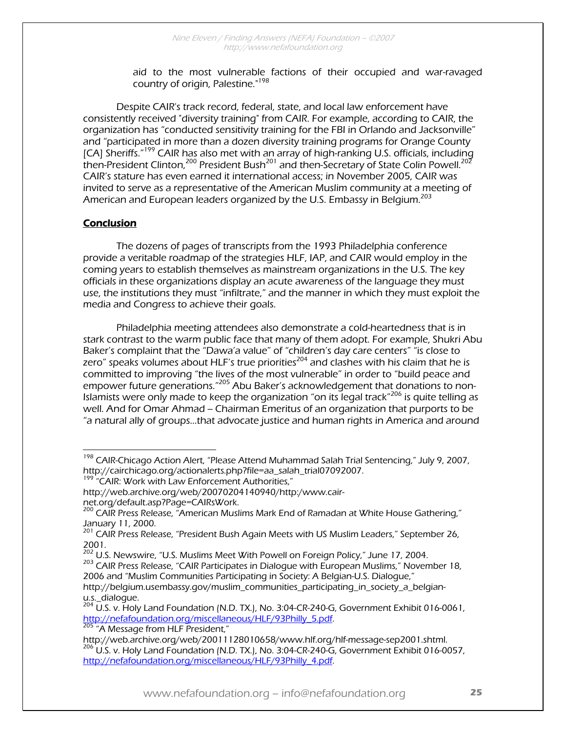aid to the most vulnerable factions of their occupied and war-ravaged country of origin, Palestine."<sup>198</sup>

Despite CAIR's track record, federal, state, and local law enforcement have consistently received "diversity training" from CAIR. For example, according to CAIR, the organization has "conducted sensitivity training for the FBI in Orlando and Jacksonville" and "participated in more than a dozen diversity training programs for Orange County [CA] Sheriffs."199 CAIR has also met with an array of high-ranking U.S. officials, including then-President Clinton,  $200$  President Bush<sup>201</sup> and then-Secretary of State Colin Powell.<sup>202</sup> CAIR's stature has even earned it international access; in November 2005, CAIR was invited to serve as a representative of the American Muslim community at a meeting of American and European leaders organized by the U.S. Embassy in Belgium.<sup>203</sup>

#### Conclusion

 $\overline{a}$ 

 The dozens of pages of transcripts from the 1993 Philadelphia conference provide a veritable roadmap of the strategies HLF, IAP, and CAIR would employ in the coming years to establish themselves as mainstream organizations in the U.S. The key officials in these organizations display an acute awareness of the language they must use, the institutions they must "infiltrate," and the manner in which they must exploit the media and Congress to achieve their goals.

 Philadelphia meeting attendees also demonstrate a cold-heartedness that is in stark contrast to the warm public face that many of them adopt. For example, Shukri Abu Baker's complaint that the "Dawa'a value" of "children's day care centers" "is close to zero" speaks volumes about HLF's true priorities<sup>204</sup> and clashes with his claim that he is committed to improving "the lives of the most vulnerable" in order to "build peace and empower future generations."205 Abu Baker's acknowledgement that donations to non-Islamists were only made to keep the organization "on its legal track<sup>"206</sup> is quite telling as well. And for Omar Ahmad – Chairman Emeritus of an organization that purports to be "a natural ally of groups…that advocate justice and human rights in America and around

<sup>&</sup>lt;sup>198</sup> CAIR-Chicago Action Alert, "Please Attend Muhammad Salah Trial Sentencing," July 9, 2007, http://cairchicago.org/actionalerts.php?file=aa\_salah\_trial07092007.<br><sup>199</sup> "CAIR: Work with Law Enforcement Authorities,"

http://web.archive.org/web/20070204140940/http:/www.cair-

net.org/default.asp?Page=CAIRsWork.

<sup>&</sup>lt;sup>200</sup> CAIR Press Release, <sup>"</sup>American Muslims Mark End of Ramadan at White House Gathering," January 11, 2000.

<sup>&</sup>lt;sup>201</sup> CAIR Press Release, "President Bush Again Meets with US Muslim Leaders," September 26,

<sup>2001.&</sup>lt;br><sup>202</sup> U.S. Newswire, "U.S. Muslims Meet With Powell on Foreign Policy," June 17, 2004.

<sup>&</sup>lt;sup>203</sup> CAIR Press Release, "CAIR Participates in Dialogue with European Muslims," November 18, 2006 and "Muslim Communities Participating in Society: A Belgian-U.S. Dialogue," http://belgium.usembassy.gov/muslim\_communities\_participating\_in\_society\_a\_belgianu.s. dialogue.

 $^{204}$  U.S. v. Holy Land Foundation (N.D. TX.), No. 3:04-CR-240-G, Government Exhibit 016-0061, http://nefafoundation.org/miscellaneous/HLF/93Philly\_5.pdf.<br><sup>205</sup> "A Message from HLF President,"

http://web.archive.org/web/20011128010658/www.hlf.org/hlf-message-sep2001.shtml.<br><sup>206</sup> U.S. v. Holy Land Foundation (N.D. TX.), No. 3:04-CR-240-G, Government Exhibit 016-0057, http://nefafoundation.org/miscellaneous/HLF/93Philly\_4.pdf.